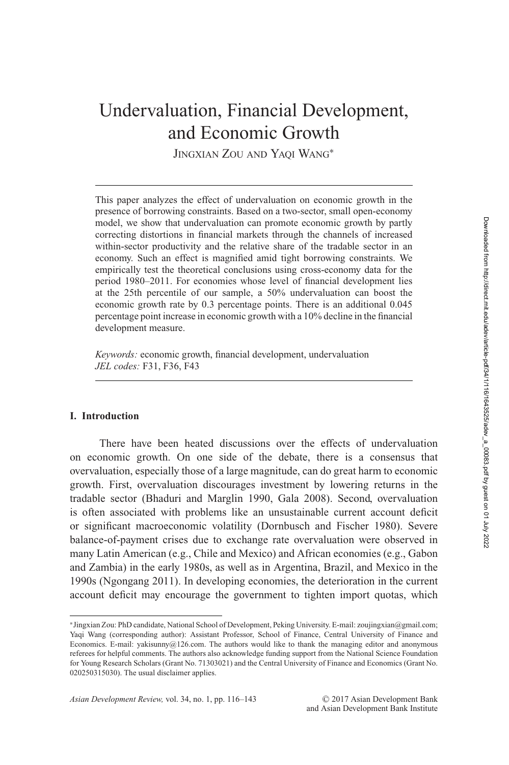# Undervaluation, Financial Development, and Economic Growth

JINGXIAN ZOU AND YAQI WANG<sup>∗</sup>

This paper analyzes the effect of undervaluation on economic growth in the presence of borrowing constraints. Based on a two-sector, small open-economy model, we show that undervaluation can promote economic growth by partly correcting distortions in financial markets through the channels of increased within-sector productivity and the relative share of the tradable sector in an economy. Such an effect is magnified amid tight borrowing constraints. We empirically test the theoretical conclusions using cross-economy data for the period 1980–2011. For economies whose level of financial development lies at the 25th percentile of our sample, a 50% undervaluation can boost the economic growth rate by 0.3 percentage points. There is an additional 0.045 percentage point increase in economic growth with a 10% decline in the financial development measure.

*Keywords:* economic growth, financial development, undervaluation *JEL codes:* F31, F36, F43

## **I. Introduction**

There have been heated discussions over the effects of undervaluation on economic growth. On one side of the debate, there is a consensus that overvaluation, especially those of a large magnitude, can do great harm to economic growth. First, overvaluation discourages investment by lowering returns in the tradable sector (Bhaduri and Marglin 1990, Gala 2008). Second, overvaluation is often associated with problems like an unsustainable current account deficit or significant macroeconomic volatility (Dornbusch and Fischer 1980). Severe balance-of-payment crises due to exchange rate overvaluation were observed in many Latin American (e.g., Chile and Mexico) and African economies (e.g., Gabon and Zambia) in the early 1980s, as well as in Argentina, Brazil, and Mexico in the 1990s (Ngongang 2011). In developing economies, the deterioration in the current account deficit may encourage the government to tighten import quotas, which

<sup>∗</sup>Jingxian Zou: PhD candidate, National School of Development, Peking University. E-mail: zoujingxian@gmail.com; Yaqi Wang (corresponding author): Assistant Professor, School of Finance, Central University of Finance and Economics. E-mail: yakisunny@126.com. The authors would like to thank the managing editor and anonymous referees for helpful comments. The authors also acknowledge funding support from the National Science Foundation for Young Research Scholars (Grant No. 71303021) and the Central University of Finance and Economics (Grant No. 020250315030). The usual disclaimer applies.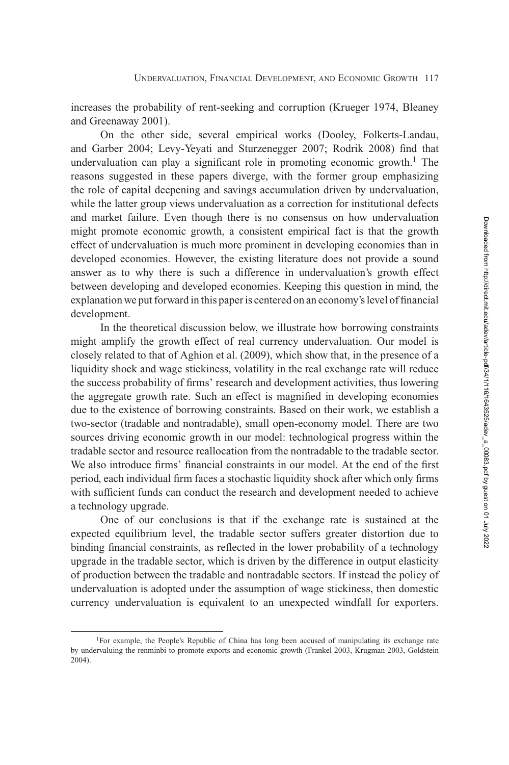increases the probability of rent-seeking and corruption (Krueger 1974, Bleaney and Greenaway 2001).

On the other side, several empirical works (Dooley, Folkerts-Landau, and Garber 2004; Levy-Yeyati and Sturzenegger 2007; Rodrik 2008) find that undervaluation can play a significant role in promoting economic growth.<sup>1</sup> The reasons suggested in these papers diverge, with the former group emphasizing the role of capital deepening and savings accumulation driven by undervaluation, while the latter group views undervaluation as a correction for institutional defects and market failure. Even though there is no consensus on how undervaluation might promote economic growth, a consistent empirical fact is that the growth effect of undervaluation is much more prominent in developing economies than in developed economies. However, the existing literature does not provide a sound answer as to why there is such a difference in undervaluation's growth effect between developing and developed economies. Keeping this question in mind, the explanation we put forward in this paper is centered on an economy's level of financial development.

In the theoretical discussion below, we illustrate how borrowing constraints might amplify the growth effect of real currency undervaluation. Our model is closely related to that of Aghion et al. (2009), which show that, in the presence of a liquidity shock and wage stickiness, volatility in the real exchange rate will reduce the success probability of firms' research and development activities, thus lowering the aggregate growth rate. Such an effect is magnified in developing economies due to the existence of borrowing constraints. Based on their work, we establish a two-sector (tradable and nontradable), small open-economy model. There are two sources driving economic growth in our model: technological progress within the tradable sector and resource reallocation from the nontradable to the tradable sector. We also introduce firms' financial constraints in our model. At the end of the first period, each individual firm faces a stochastic liquidity shock after which only firms with sufficient funds can conduct the research and development needed to achieve a technology upgrade.

One of our conclusions is that if the exchange rate is sustained at the expected equilibrium level, the tradable sector suffers greater distortion due to binding financial constraints, as reflected in the lower probability of a technology upgrade in the tradable sector, which is driven by the difference in output elasticity of production between the tradable and nontradable sectors. If instead the policy of undervaluation is adopted under the assumption of wage stickiness, then domestic currency undervaluation is equivalent to an unexpected windfall for exporters.

<sup>&</sup>lt;sup>1</sup>For example, the People's Republic of China has long been accused of manipulating its exchange rate by undervaluing the renminbi to promote exports and economic growth (Frankel 2003, Krugman 2003, Goldstein 2004).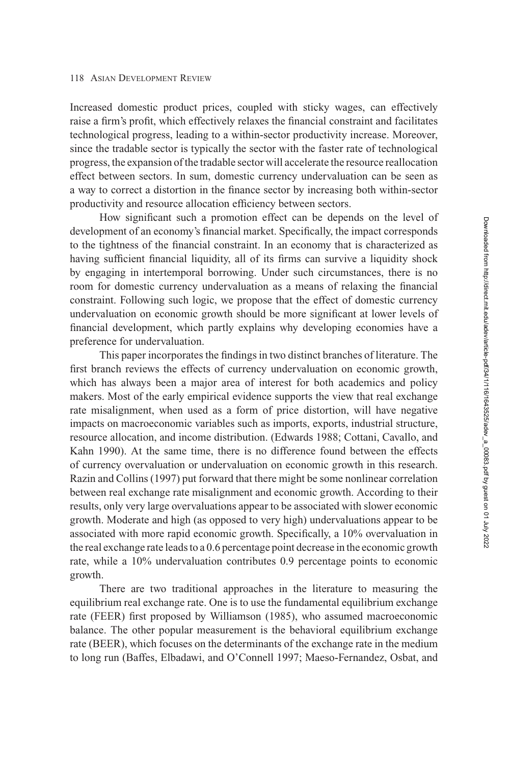Increased domestic product prices, coupled with sticky wages, can effectively raise a firm's profit, which effectively relaxes the financial constraint and facilitates technological progress, leading to a within-sector productivity increase. Moreover, since the tradable sector is typically the sector with the faster rate of technological progress, the expansion of the tradable sector will accelerate the resource reallocation effect between sectors. In sum, domestic currency undervaluation can be seen as a way to correct a distortion in the finance sector by increasing both within-sector productivity and resource allocation efficiency between sectors.

How significant such a promotion effect can be depends on the level of development of an economy's financial market. Specifically, the impact corresponds to the tightness of the financial constraint. In an economy that is characterized as having sufficient financial liquidity, all of its firms can survive a liquidity shock by engaging in intertemporal borrowing. Under such circumstances, there is no room for domestic currency undervaluation as a means of relaxing the financial constraint. Following such logic, we propose that the effect of domestic currency undervaluation on economic growth should be more significant at lower levels of financial development, which partly explains why developing economies have a preference for undervaluation.

This paper incorporates the findings in two distinct branches of literature. The first branch reviews the effects of currency undervaluation on economic growth, which has always been a major area of interest for both academics and policy makers. Most of the early empirical evidence supports the view that real exchange rate misalignment, when used as a form of price distortion, will have negative impacts on macroeconomic variables such as imports, exports, industrial structure, resource allocation, and income distribution. (Edwards 1988; Cottani, Cavallo, and Kahn 1990). At the same time, there is no difference found between the effects of currency overvaluation or undervaluation on economic growth in this research. Razin and Collins (1997) put forward that there might be some nonlinear correlation between real exchange rate misalignment and economic growth. According to their results, only very large overvaluations appear to be associated with slower economic growth. Moderate and high (as opposed to very high) undervaluations appear to be associated with more rapid economic growth. Specifically, a 10% overvaluation in the real exchange rate leads to a 0.6 percentage point decrease in the economic growth rate, while a 10% undervaluation contributes 0.9 percentage points to economic growth.

There are two traditional approaches in the literature to measuring the equilibrium real exchange rate. One is to use the fundamental equilibrium exchange rate (FEER) first proposed by Williamson (1985), who assumed macroeconomic balance. The other popular measurement is the behavioral equilibrium exchange rate (BEER), which focuses on the determinants of the exchange rate in the medium to long run (Baffes, Elbadawi, and O'Connell 1997; Maeso-Fernandez, Osbat, and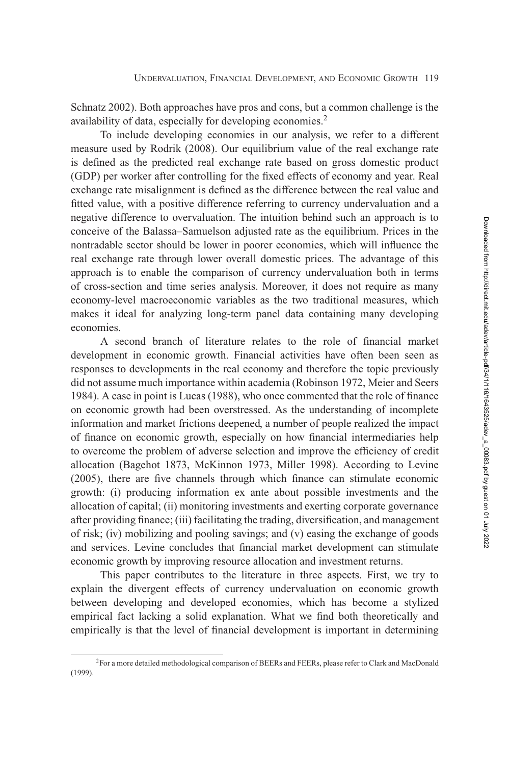Schnatz 2002). Both approaches have pros and cons, but a common challenge is the availability of data, especially for developing economies.<sup>2</sup>

To include developing economies in our analysis, we refer to a different measure used by Rodrik (2008). Our equilibrium value of the real exchange rate is defined as the predicted real exchange rate based on gross domestic product (GDP) per worker after controlling for the fixed effects of economy and year. Real exchange rate misalignment is defined as the difference between the real value and fitted value, with a positive difference referring to currency undervaluation and a negative difference to overvaluation. The intuition behind such an approach is to conceive of the Balassa–Samuelson adjusted rate as the equilibrium. Prices in the nontradable sector should be lower in poorer economies, which will influence the real exchange rate through lower overall domestic prices. The advantage of this approach is to enable the comparison of currency undervaluation both in terms of cross-section and time series analysis. Moreover, it does not require as many economy-level macroeconomic variables as the two traditional measures, which makes it ideal for analyzing long-term panel data containing many developing economies.

A second branch of literature relates to the role of financial market development in economic growth. Financial activities have often been seen as responses to developments in the real economy and therefore the topic previously did not assume much importance within academia (Robinson 1972, Meier and Seers 1984). A case in point is Lucas (1988), who once commented that the role of finance on economic growth had been overstressed. As the understanding of incomplete information and market frictions deepened, a number of people realized the impact of finance on economic growth, especially on how financial intermediaries help to overcome the problem of adverse selection and improve the efficiency of credit allocation (Bagehot 1873, McKinnon 1973, Miller 1998). According to Levine (2005), there are five channels through which finance can stimulate economic growth: (i) producing information ex ante about possible investments and the allocation of capital; (ii) monitoring investments and exerting corporate governance after providing finance; (iii) facilitating the trading, diversification, and management of risk; (iv) mobilizing and pooling savings; and (v) easing the exchange of goods and services. Levine concludes that financial market development can stimulate economic growth by improving resource allocation and investment returns.

This paper contributes to the literature in three aspects. First, we try to explain the divergent effects of currency undervaluation on economic growth between developing and developed economies, which has become a stylized empirical fact lacking a solid explanation. What we find both theoretically and empirically is that the level of financial development is important in determining

<sup>2</sup>For a more detailed methodological comparison of BEERs and FEERs, please refer to Clark and MacDonald (1999).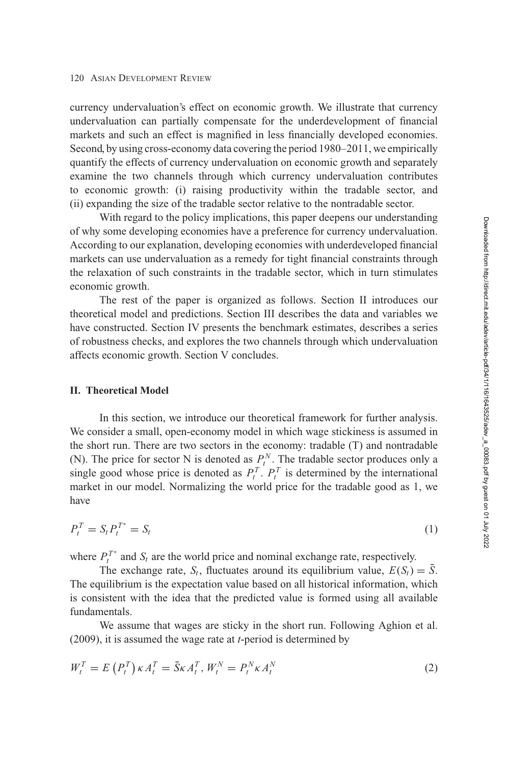currency undervaluation's effect on economic growth. We illustrate that currency undervaluation can partially compensate for the underdevelopment of financial markets and such an effect is magnified in less financially developed economies. Second, by using cross-economy data covering the period 1980–2011, we empirically quantify the effects of currency undervaluation on economic growth and separately examine the two channels through which currency undervaluation contributes to economic growth: (i) raising productivity within the tradable sector, and (ii) expanding the size of the tradable sector relative to the nontradable sector.

With regard to the policy implications, this paper deepens our understanding of why some developing economies have a preference for currency undervaluation. According to our explanation, developing economies with underdeveloped financial markets can use undervaluation as a remedy for tight financial constraints through the relaxation of such constraints in the tradable sector, which in turn stimulates economic growth.

The rest of the paper is organized as follows. Section II introduces our theoretical model and predictions. Section III describes the data and variables we have constructed. Section IV presents the benchmark estimates, describes a series of robustness checks, and explores the two channels through which undervaluation affects economic growth. Section V concludes.

# **II. Theoretical Model**

In this section, we introduce our theoretical framework for further analysis. We consider a small, open-economy model in which wage stickiness is assumed in the short run. There are two sectors in the economy: tradable (T) and nontradable (N). The price for sector N is denoted as  $P_t^N$ . The tradable sector produces only a single good whose price is denoted as  $P_t^T$ .  $P_t^T$  is determined by the international market in our model. Normalizing the world price for the tradable good as 1, we have

$$
P_t^T = S_t P_t^{T^*} = S_t \tag{1}
$$

where  $P_t^{T^*}$  and  $S_t$  are the world price and nominal exchange rate, respectively.

The exchange rate,  $S_t$ , fluctuates around its equilibrium value,  $E(S_t) = \overline{S}$ . The equilibrium is the expectation value based on all historical information, which is consistent with the idea that the predicted value is formed using all available fundamentals.

We assume that wages are sticky in the short run. Following Aghion et al. (2009), it is assumed the wage rate at *t*-period is determined by

$$
W_t^T = E\left(P_t^T\right)\kappa A_t^T = \bar{S}\kappa A_t^T, W_t^N = P_t^N \kappa A_t^N
$$
\n<sup>(2)</sup>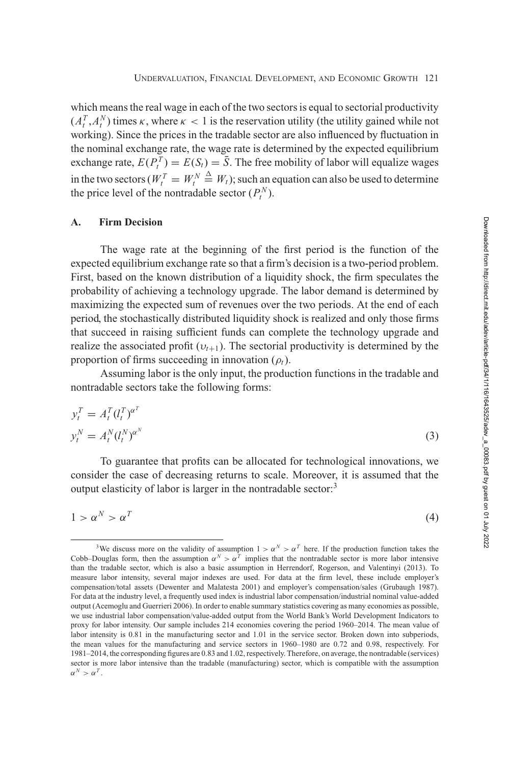which means the real wage in each of the two sectors is equal to sectorial productivity  $(A_t^T, A_t^N)$  times  $\kappa$ , where  $\kappa < 1$  is the reservation utility (the utility gained while not working). Since the prices in the tradable sector are also influenced by fluctuation in the nominal exchange rate, the wage rate is determined by the expected equilibrium exchange rate,  $E(P_t^T) = E(S_t) = \overline{S}$ . The free mobility of labor will equalize wages in the two sectors ( $W_t^T = W_t^N$  $\stackrel{\Delta}{=} W_t$ ); such an equation can also be used to determine the price level of the nontradable sector  $(P_t^N)$ .

#### **A. Firm Decision**

The wage rate at the beginning of the first period is the function of the expected equilibrium exchange rate so that a firm's decision is a two-period problem. First, based on the known distribution of a liquidity shock, the firm speculates the probability of achieving a technology upgrade. The labor demand is determined by maximizing the expected sum of revenues over the two periods. At the end of each period, the stochastically distributed liquidity shock is realized and only those firms that succeed in raising sufficient funds can complete the technology upgrade and realize the associated profit  $(v_{t+1})$ . The sectorial productivity is determined by the proportion of firms succeeding in innovation  $(\rho_t)$ .

Assuming labor is the only input, the production functions in the tradable and nontradable sectors take the following forms:

$$
y_t^T = A_t^T (l_t^T)^{\alpha^T}
$$
  

$$
y_t^N = A_t^N (l_t^N)^{\alpha^N}
$$
 (3)

To guarantee that profits can be allocated for technological innovations, we consider the case of decreasing returns to scale. Moreover, it is assumed that the output elasticity of labor is larger in the nontradable sector:<sup>3</sup>

 $1 > \alpha^N > \alpha^T$  (4)

<sup>&</sup>lt;sup>3</sup>We discuss more on the validity of assumption  $1 > \alpha^N > \alpha^T$  here. If the production function takes the Cobb–Douglas form, then the assumption  $\alpha^N > \alpha^T$  implies that the nontradable sector is more labor intensive than the tradable sector, which is also a basic assumption in Herrendorf, Rogerson, and Valentinyi (2013). To measure labor intensity, several major indexes are used. For data at the firm level, these include employer's compensation/total assets (Dewenter and Malatesta 2001) and employer's compensation/sales (Grubaugh 1987). For data at the industry level, a frequently used index is industrial labor compensation/industrial nominal value-added output (Acemoglu and Guerrieri 2006). In order to enable summary statistics covering as many economies as possible, we use industrial labor compensation/value-added output from the World Bank's World Development Indicators to proxy for labor intensity. Our sample includes 214 economies covering the period 1960–2014. The mean value of labor intensity is 0.81 in the manufacturing sector and 1.01 in the service sector. Broken down into subperiods, the mean values for the manufacturing and service sectors in 1960–1980 are 0.72 and 0.98, respectively. For 1981–2014, the corresponding figures are 0.83 and 1.02, respectively. Therefore, on average, the nontradable (services) sector is more labor intensive than the tradable (manufacturing) sector, which is compatible with the assumption  $\alpha^N > \alpha^T$ .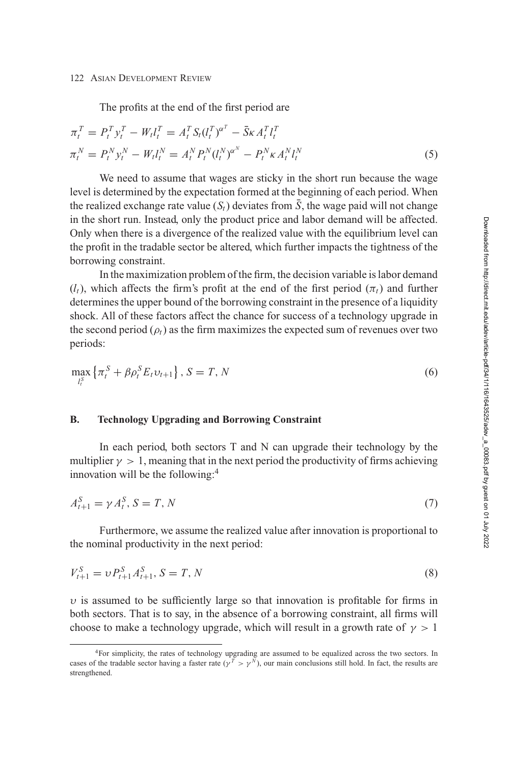The profits at the end of the first period are

$$
\pi_t^T = P_t^T y_t^T - W_t l_t^T = A_t^T S_t (l_t^T)^{\alpha^T} - \bar{S} \kappa A_t^T l_t^T \n\pi_t^N = P_t^N y_t^N - W_t l_t^N = A_t^N P_t^N (l_t^N)^{\alpha^N} - P_t^N \kappa A_t^N l_t^N
$$
\n(5)

We need to assume that wages are sticky in the short run because the wage level is determined by the expectation formed at the beginning of each period. When the realized exchange rate value  $(S_t)$  deviates from  $\overline{S}$ , the wage paid will not change in the short run. Instead, only the product price and labor demand will be affected. Only when there is a divergence of the realized value with the equilibrium level can the profit in the tradable sector be altered, which further impacts the tightness of the borrowing constraint.

In the maximization problem of the firm, the decision variable is labor demand  $(l_t)$ , which affects the firm's profit at the end of the first period  $(\pi_t)$  and further determines the upper bound of the borrowing constraint in the presence of a liquidity shock. All of these factors affect the chance for success of a technology upgrade in the second period  $(\rho_t)$  as the firm maximizes the expected sum of revenues over two periods:

$$
\max_{l_i^S} \left\{ \pi_i^S + \beta \rho_i^S E_t v_{t+1} \right\}, S = T, N \tag{6}
$$

## **B. Technology Upgrading and Borrowing Constraint**

In each period, both sectors T and N can upgrade their technology by the multiplier  $\gamma > 1$ , meaning that in the next period the productivity of firms achieving innovation will be the following:<sup>4</sup>

$$
A_{t+1}^S = \gamma A_t^S, S = T, N \tag{7}
$$

Furthermore, we assume the realized value after innovation is proportional to the nominal productivity in the next period:

$$
V_{t+1}^{S} = \nu P_{t+1}^{S} A_{t+1}^{S}, S = T, N
$$
\n(8)

 $\nu$  is assumed to be sufficiently large so that innovation is profitable for firms in both sectors. That is to say, in the absence of a borrowing constraint, all firms will choose to make a technology upgrade, which will result in a growth rate of  $\gamma > 1$ 

<sup>4</sup>For simplicity, the rates of technology upgrading are assumed to be equalized across the two sectors. In cases of the tradable sector having a faster rate ( $\gamma^T > \gamma^N$ ), our main conclusions still hold. In fact, the results are strengthened.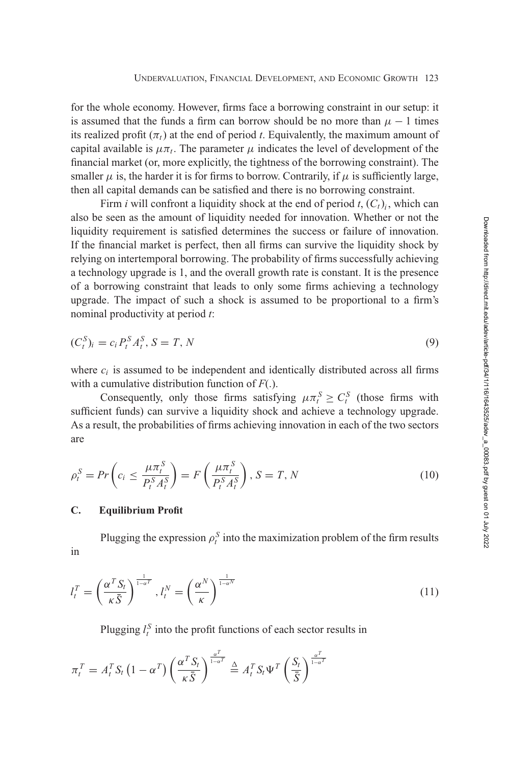for the whole economy. However, firms face a borrowing constraint in our setup: it is assumed that the funds a firm can borrow should be no more than  $\mu - 1$  times its realized profit  $(\pi_t)$  at the end of period *t*. Equivalently, the maximum amount of capital available is  $\mu \pi_t$ . The parameter  $\mu$  indicates the level of development of the financial market (or, more explicitly, the tightness of the borrowing constraint). The smaller  $\mu$  is, the harder it is for firms to borrow. Contrarily, if  $\mu$  is sufficiently large, then all capital demands can be satisfied and there is no borrowing constraint.

Firm *i* will confront a liquidity shock at the end of period  $t$ ,  $(C_t)$ , which can also be seen as the amount of liquidity needed for innovation. Whether or not the liquidity requirement is satisfied determines the success or failure of innovation. If the financial market is perfect, then all firms can survive the liquidity shock by relying on intertemporal borrowing. The probability of firms successfully achieving a technology upgrade is 1, and the overall growth rate is constant. It is the presence of a borrowing constraint that leads to only some firms achieving a technology upgrade. The impact of such a shock is assumed to be proportional to a firm's nominal productivity at period *t*:

$$
(C_t^S)_i = c_i P_t^S A_t^S, S = T, N
$$
\n
$$
(9)
$$

where  $c_i$  is assumed to be independent and identically distributed across all firms with a cumulative distribution function of *F*(.).

Consequently, only those firms satisfying  $\mu \pi_i^S \ge C_i^S$  (those firms with sufficient funds) can survive a liquidity shock and achieve a technology upgrade. As a result, the probabilities of firms achieving innovation in each of the two sectors are

$$
\rho_t^S = Pr\left(c_i \le \frac{\mu \pi_t^S}{P_t^S A_t^S}\right) = F\left(\frac{\mu \pi_t^S}{P_t^S A_t^S}\right), S = T, N
$$
\n(10)

## **C. Equilibrium Profit**

Plugging the expression  $\rho_t^S$  into the maximization problem of the firm results in

$$
l_t^T = \left(\frac{\alpha^T S_t}{\kappa \bar{S}}\right)^{\frac{1}{1-\alpha^T}}, l_t^N = \left(\frac{\alpha^N}{\kappa}\right)^{\frac{1}{1-\alpha^N}}
$$
(11)

Plugging  $l_t^S$  into the profit functions of each sector results in

$$
\pi_t^T = A_t^T S_t \left(1 - \alpha^T\right) \left(\frac{\alpha^T S_t}{\kappa \bar{S}}\right)^{\frac{\alpha^T}{1 - \alpha^T}} \triangleq A_t^T S_t \Psi^T \left(\frac{S_t}{\bar{S}}\right)^{\frac{\alpha^T}{1 - \alpha^T}}
$$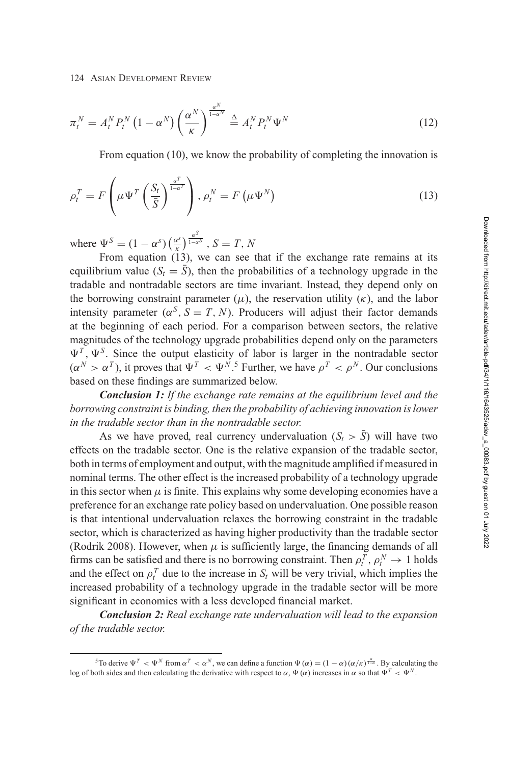$$
\pi_t^N = A_t^N P_t^N \left(1 - \alpha^N\right) \left(\frac{\alpha^N}{\kappa}\right)^{\frac{\alpha^N}{1 - \alpha^N}} \triangleq A_t^N P_t^N \Psi^N \tag{12}
$$

From equation (10), we know the probability of completing the innovation is

$$
\rho_t^T = F\left(\mu \Psi^T \left(\frac{S_t}{\bar{S}}\right)^{\frac{\alpha^T}{1-\alpha^T}}\right), \rho_t^N = F\left(\mu \Psi^N\right)
$$
\n(13)

where  $\Psi^S = (1 - \alpha^s) \left(\frac{\alpha^s}{\kappa}\right)^{\frac{\alpha^S}{1 - \alpha^S}}, S = T, N$ 

From equation (13), we can see that if the exchange rate remains at its equilibrium value  $(S_t = \overline{S})$ , then the probabilities of a technology upgrade in the tradable and nontradable sectors are time invariant. Instead, they depend only on the borrowing constraint parameter  $(\mu)$ , the reservation utility  $(\kappa)$ , and the labor intensity parameter ( $\alpha^S$ ,  $S = T$ , N). Producers will adjust their factor demands at the beginning of each period. For a comparison between sectors, the relative magnitudes of the technology upgrade probabilities depend only on the parameters  $\Psi^T$ ,  $\Psi^S$ . Since the output elasticity of labor is larger in the nontradable sector  $(\alpha^N > \alpha^T)$ , it proves that  $\Psi^T < \Psi^N$ .<sup>5</sup> Further, we have  $\rho^T < \rho^N$ . Our conclusions based on these findings are summarized below.

*Conclusion 1: If the exchange rate remains at the equilibrium level and the borrowing constraint is binding, then the probability of achieving innovation is lower in the tradable sector than in the nontradable sector.*

As we have proved, real currency undervaluation  $(S_t > \overline{S})$  will have two effects on the tradable sector. One is the relative expansion of the tradable sector, both in terms of employment and output, with the magnitude amplified if measured in nominal terms. The other effect is the increased probability of a technology upgrade in this sector when  $\mu$  is finite. This explains why some developing economies have a preference for an exchange rate policy based on undervaluation. One possible reason is that intentional undervaluation relaxes the borrowing constraint in the tradable sector, which is characterized as having higher productivity than the tradable sector (Rodrik 2008). However, when  $\mu$  is sufficiently large, the financing demands of all firms can be satisfied and there is no borrowing constraint. Then  $\rho_t^T$ ,  $\rho_t^N \to 1$  holds and the effect on  $\rho_t^T$  due to the increase in  $S_t$  will be very trivial, which implies the increased probability of a technology upgrade in the tradable sector will be more significant in economies with a less developed financial market.

*Conclusion 2: Real exchange rate undervaluation will lead to the expansion of the tradable sector.*

<sup>&</sup>lt;sup>5</sup>To derive  $\Psi^T < \Psi^N$  from  $\alpha^T < \alpha^N$ , we can define a function  $\Psi(\alpha) = (1 - \alpha)(\alpha/\kappa)^{\frac{\alpha}{1 - \alpha}}$ . By calculating the log of both sides and then calculating the derivative with respect to  $\alpha$ ,  $\Psi(\alpha)$  increases in  $\alpha$  so that  $\Psi^T < \Psi^N$ .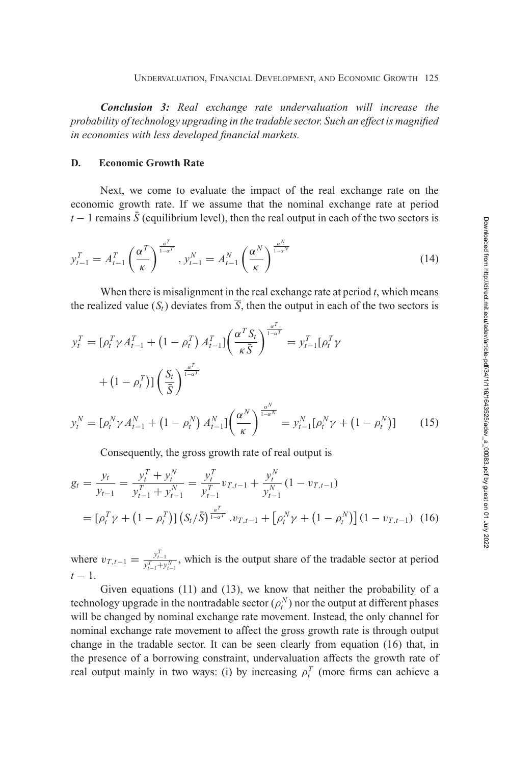*Conclusion 3: Real exchange rate undervaluation will increase the probability of technology upgrading in the tradable sector. Such an effect is magnified in economies with less developed financial markets.*

#### **D. Economic Growth Rate**

Next, we come to evaluate the impact of the real exchange rate on the economic growth rate. If we assume that the nominal exchange rate at period  $t-1$  remains  $\bar{S}$  (equilibrium level), then the real output in each of the two sectors is

$$
y_{t-1}^T = A_{t-1}^T \left(\frac{\alpha^T}{\kappa}\right)^{\frac{\alpha^T}{1-\alpha^T}}, y_{t-1}^N = A_{t-1}^N \left(\frac{\alpha^N}{\kappa}\right)^{\frac{\alpha^N}{1-\alpha^N}}
$$
(14)

When there is misalignment in the real exchange rate at period *t*, which means the realized value  $(S_t)$  deviates from  $\overline{S}$ , then the output in each of the two sectors is

$$
y_t^T = [\rho_t^T \gamma A_{t-1}^T + (1 - \rho_t^T) A_{t-1}^T] \left( \frac{\alpha^T S_t}{\kappa \bar{S}} \right)^{\frac{\alpha^T}{1 - \alpha^T}} = y_{t-1}^T [\rho_t^T \gamma
$$
  
+ 
$$
(1 - \rho_t^T) \left( \frac{S_t}{\bar{S}} \right)^{\frac{\alpha^T}{1 - \alpha^T}}
$$
  

$$
y_t^N = [\rho_t^N \gamma A_{t-1}^N + (1 - \rho_t^N) A_{t-1}^N] \left( \frac{\alpha^N}{\kappa} \right)^{\frac{\alpha^N}{1 - \alpha^N}} = y_{t-1}^N [\rho_t^N \gamma + (1 - \rho_t^N)] \tag{15}
$$

Consequently, the gross growth rate of real output is

$$
g_{t} = \frac{y_{t}}{y_{t-1}} = \frac{y_{t}^{T} + y_{t}^{N}}{y_{t-1}^{T} + y_{t-1}^{N}} = \frac{y_{t}^{T}}{y_{t-1}^{T}} v_{T,t-1} + \frac{y_{t}^{N}}{y_{t-1}^{N}} (1 - v_{T,t-1})
$$
  
=  $[\rho_{t}^{T} \gamma + (1 - \rho_{t}^{T})] (S_{t}/\bar{S})^{\frac{\alpha^{T}}{1 - \alpha^{T}}} v_{T,t-1} + [\rho_{t}^{N} \gamma + (1 - \rho_{t}^{N})] (1 - v_{T,t-1})$  (16)

where  $v_{T,t-1} = \frac{y_{t-1}^T}{y_{t-1}^T + y_{t-1}^N}$ , which is the output share of the tradable sector at period  $t-1$ .

Given equations (11) and (13), we know that neither the probability of a technology upgrade in the nontradable sector  $(\rho_t^N)$  nor the output at different phases will be changed by nominal exchange rate movement. Instead, the only channel for nominal exchange rate movement to affect the gross growth rate is through output change in the tradable sector. It can be seen clearly from equation (16) that, in the presence of a borrowing constraint, undervaluation affects the growth rate of real output mainly in two ways: (i) by increasing  $\rho_t^T$  (more firms can achieve a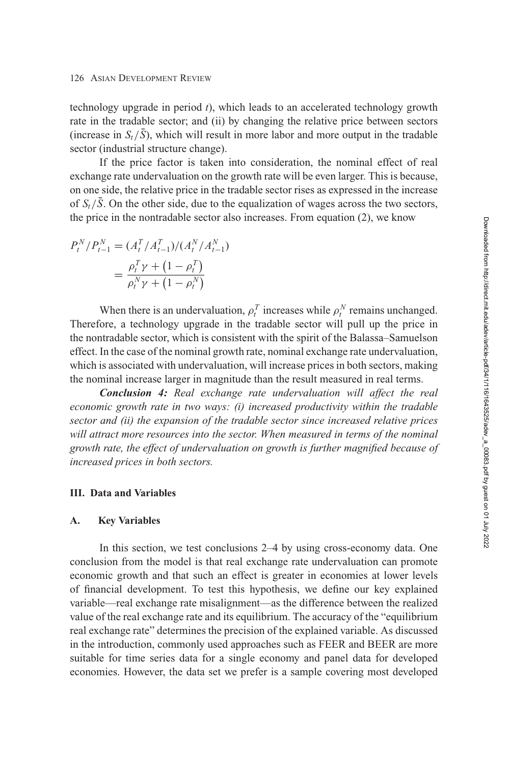technology upgrade in period *t*), which leads to an accelerated technology growth rate in the tradable sector; and (ii) by changing the relative price between sectors (increase in  $S_t/\overline{S}$ ), which will result in more labor and more output in the tradable sector (industrial structure change).

If the price factor is taken into consideration, the nominal effect of real exchange rate undervaluation on the growth rate will be even larger. This is because, on one side, the relative price in the tradable sector rises as expressed in the increase of  $S_t/\overline{S}$ . On the other side, due to the equalization of wages across the two sectors, the price in the nontradable sector also increases. From equation (2), we know

$$
P_t^N / P_{t-1}^N = (A_t^T / A_{t-1}^T) / (A_t^N / A_{t-1}^N)
$$
  
= 
$$
\frac{\rho_t^T \gamma + (1 - \rho_t^T)}{\rho_t^N \gamma + (1 - \rho_t^N)}
$$

When there is an undervaluation,  $\rho_t^T$  increases while  $\rho_t^N$  remains unchanged. Therefore, a technology upgrade in the tradable sector will pull up the price in the nontradable sector, which is consistent with the spirit of the Balassa–Samuelson effect. In the case of the nominal growth rate, nominal exchange rate undervaluation, which is associated with undervaluation, will increase prices in both sectors, making the nominal increase larger in magnitude than the result measured in real terms.

*Conclusion 4: Real exchange rate undervaluation will affect the real economic growth rate in two ways: (i) increased productivity within the tradable sector and (ii) the expansion of the tradable sector since increased relative prices will attract more resources into the sector. When measured in terms of the nominal growth rate, the effect of undervaluation on growth is further magnified because of increased prices in both sectors.*

# **III. Data and Variables**

#### **A. Key Variables**

In this section, we test conclusions 2–4 by using cross-economy data. One conclusion from the model is that real exchange rate undervaluation can promote economic growth and that such an effect is greater in economies at lower levels of financial development. To test this hypothesis, we define our key explained variable—real exchange rate misalignment—as the difference between the realized value of the real exchange rate and its equilibrium. The accuracy of the "equilibrium real exchange rate" determines the precision of the explained variable. As discussed in the introduction, commonly used approaches such as FEER and BEER are more suitable for time series data for a single economy and panel data for developed economies. However, the data set we prefer is a sample covering most developed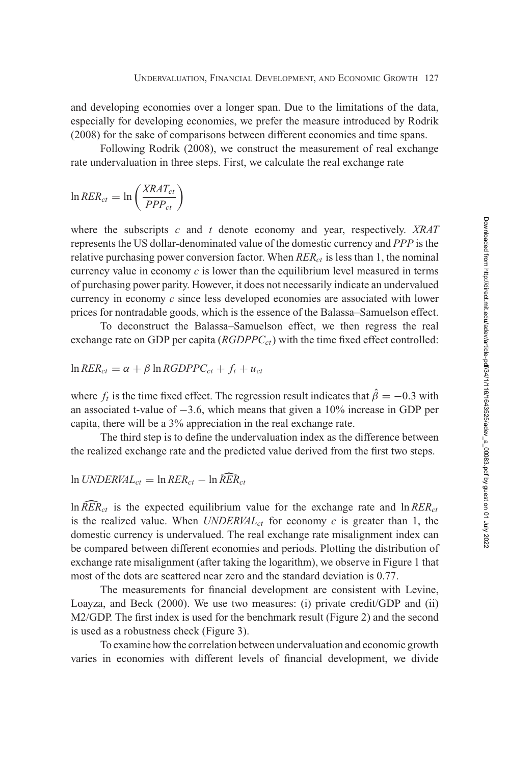and developing economies over a longer span. Due to the limitations of the data, especially for developing economies, we prefer the measure introduced by Rodrik (2008) for the sake of comparisons between different economies and time spans.

Following Rodrik (2008), we construct the measurement of real exchange rate undervaluation in three steps. First, we calculate the real exchange rate

$$
\ln RER_{ct} = \ln \left(\frac{XRAT_{ct}}{PPP_{ct}}\right)
$$

where the subscripts *c* and *t* denote economy and year, respectively. *XRAT* represents the US dollar-denominated value of the domestic currency and *PPP* is the relative purchasing power conversion factor. When  $RER<sub>ct</sub>$  is less than 1, the nominal currency value in economy *c* is lower than the equilibrium level measured in terms of purchasing power parity. However, it does not necessarily indicate an undervalued currency in economy *c* since less developed economies are associated with lower prices for nontradable goods, which is the essence of the Balassa–Samuelson effect.

To deconstruct the Balassa–Samuelson effect, we then regress the real exchange rate on GDP per capita  $(RGDPPC_{ct})$  with the time fixed effect controlled:

 $\ln RER_{ct} = \alpha + \beta \ln RGDPPC_{ct} + f_t + u_{ct}$ 

where  $f_t$  is the time fixed effect. The regression result indicates that  $\hat{\beta} = -0.3$  with an associated t-value of −3.6, which means that given a 10% increase in GDP per capita, there will be a 3% appreciation in the real exchange rate.

The third step is to define the undervaluation index as the difference between the realized exchange rate and the predicted value derived from the first two steps.

ln *UNDERVALct* <sup>=</sup> ln *RERct* <sup>−</sup> ln *RER ct*

 $\ln \widehat{RER}_{ct}$  is the expected equilibrium value for the exchange rate and  $\ln RER_{ct}$ is the realized value. When  $UNDERVAL_{ct}$  for economy  $c$  is greater than 1, the domestic currency is undervalued. The real exchange rate misalignment index can be compared between different economies and periods. Plotting the distribution of exchange rate misalignment (after taking the logarithm), we observe in Figure 1 that most of the dots are scattered near zero and the standard deviation is 0.77.

The measurements for financial development are consistent with Levine, Loayza, and Beck (2000). We use two measures: (i) private credit/GDP and (ii) M2/GDP. The first index is used for the benchmark result (Figure 2) and the second is used as a robustness check (Figure 3).

To examine how the correlation between undervaluation and economic growth varies in economies with different levels of financial development, we divide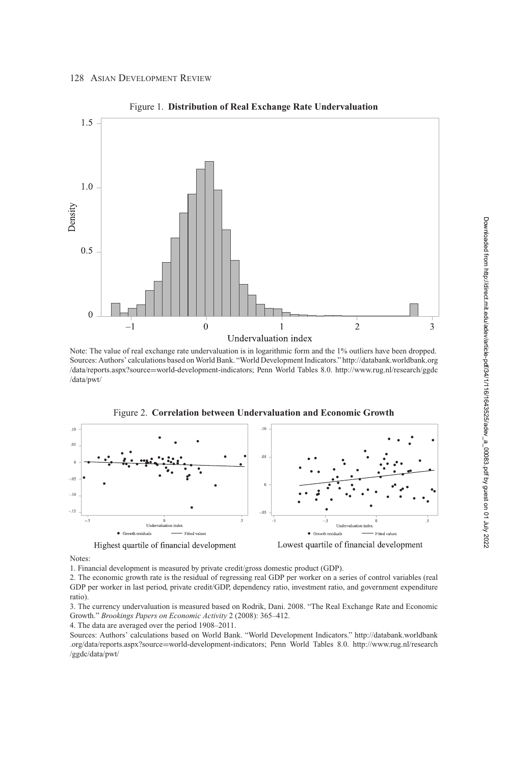

Figure 1. **Distribution of Real Exchange Rate Undervaluation**

Note: The value of real exchange rate undervaluation is in logarithmic form and the 1% outliers have been dropped. Sources: Authors' calculations based on World Bank. "World Development Indicators." http://databank.worldbank.org /data/reports.aspx?source=world-development-indicators; Penn World Tables 8.0. http://www.rug.nl/research/ggdc /data/pwt/

 $\overline{10}$  $.10$  $.05$ - 05  $\ddot{c}$  $-10$  $-15$ Underva on index • Growth residuals Fitted values • Growth residuals Fitted value Lowest quartile of financial development Highest quartile of financial development

Figure 2. **Correlation between Undervaluation and Economic Growth**

Notes:

1. Financial development is measured by private credit/gross domestic product (GDP).

2. The economic growth rate is the residual of regressing real GDP per worker on a series of control variables (real GDP per worker in last period, private credit/GDP, dependency ratio, investment ratio, and government expenditure ratio).

3. The currency undervaluation is measured based on Rodrik, Dani. 2008. "The Real Exchange Rate and Economic Growth." *Brookings Papers on Economic Activity* 2 (2008): 365–412.

4. The data are averaged over the period 1908–2011.

Sources: Authors' calculations based on World Bank. "World Development Indicators." http://databank.worldbank .org/data/reports.aspx?source=world-development-indicators; Penn World Tables 8.0. http://www.rug.nl/research /ggdc/data/pwt/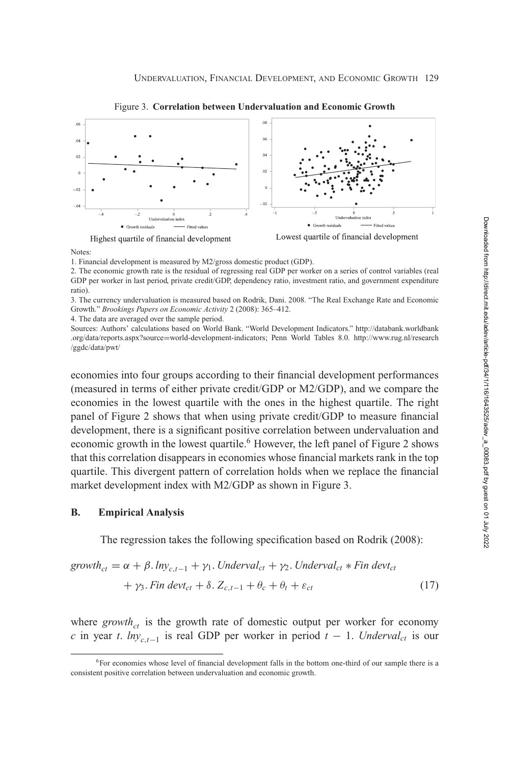

Figure 3. **Correlation between Undervaluation and Economic Growth**

Highest quartile of financial development



Notes:

1. Financial development is measured by M2/gross domestic product (GDP).

2. The economic growth rate is the residual of regressing real GDP per worker on a series of control variables (real GDP per worker in last period, private credit/GDP, dependency ratio, investment ratio, and government expenditure ratio).

3. The currency undervaluation is measured based on Rodrik, Dani. 2008. "The Real Exchange Rate and Economic Growth." *Brookings Papers on Economic Activity* 2 (2008): 365–412.

4. The data are averaged over the sample period.

Sources: Authors' calculations based on World Bank. "World Development Indicators." http://databank.worldbank .org/data/reports.aspx?source=world-development-indicators; Penn World Tables 8.0. http://www.rug.nl/research /ggdc/data/pwt/

economies into four groups according to their financial development performances (measured in terms of either private credit/GDP or M2/GDP), and we compare the economies in the lowest quartile with the ones in the highest quartile. The right panel of Figure 2 shows that when using private credit/GDP to measure financial development, there is a significant positive correlation between undervaluation and economic growth in the lowest quartile.<sup>6</sup> However, the left panel of Figure 2 shows that this correlation disappears in economies whose financial markets rank in the top quartile. This divergent pattern of correlation holds when we replace the financial market development index with M2/GDP as shown in Figure 3.

## **B. Empirical Analysis**

The regression takes the following specification based on Rodrik (2008):

$$
growth_{ct} = \alpha + \beta. \ln y_{c,t-1} + \gamma_1. \text{Underval}_{ct} + \gamma_2. \text{Underval}_{ct} * \text{Fin} \text{ devt}_{ct}
$$

$$
+ \gamma_3. \text{Fin} \text{ devt}_{ct} + \delta. \ Z_{c,t-1} + \theta_c + \theta_t + \varepsilon_{ct}
$$
(17)

where  $growth_{ct}$  is the growth rate of domestic output per worker for economy *c* in year *t*. *lny<sub>ct-1</sub>* is real GDP per worker in period  $t - 1$ . *Underval<sub>ct</sub>* is our

<sup>6</sup>For economies whose level of financial development falls in the bottom one-third of our sample there is a consistent positive correlation between undervaluation and economic growth.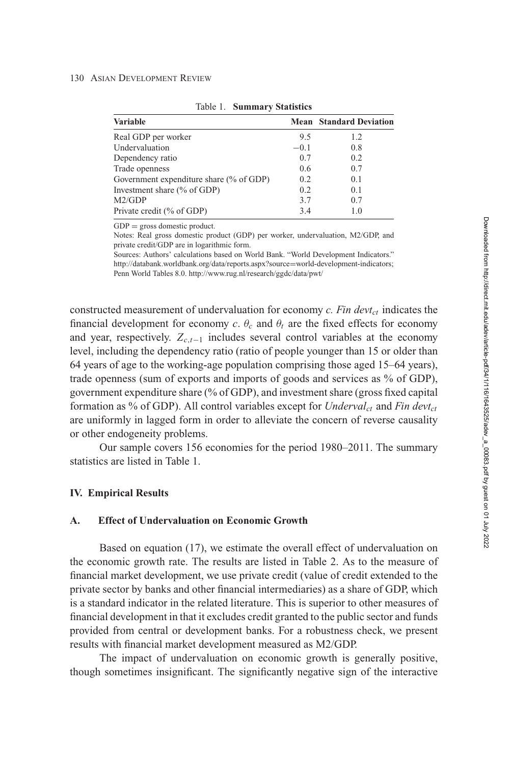| <b>Variable</b>                         |        | <b>Mean</b> Standard Deviation |
|-----------------------------------------|--------|--------------------------------|
| Real GDP per worker                     | 9.5    | 1.2                            |
| Undervaluation                          | $-0.1$ | 0.8                            |
| Dependency ratio                        | 0.7    | 0.2                            |
| Trade openness                          | 0.6    | 0.7                            |
| Government expenditure share (% of GDP) | 0.2    | 0.1                            |
| Investment share $(\%$ of GDP)          | 0.2    | 0.1                            |
| M2/GDP                                  | 3.7    | 0.7                            |
| Private credit (% of GDP)               | 3.4    | 1.0                            |

Table 1. **Summary Statistics**

 $GDP =$  gross domestic product.

Notes: Real gross domestic product (GDP) per worker, undervaluation, M2/GDP, and private credit/GDP are in logarithmic form.

Sources: Authors' calculations based on World Bank. "World Development Indicators." http://databank.worldbank.org/data/reports.aspx?source=world-development-indicators; Penn World Tables 8.0. http://www.rug.nl/research/ggdc/data/pwt/

constructed measurement of undervaluation for economy  $c$ . Fin devt<sub>ct</sub> indicates the financial development for economy *c*.  $\theta_c$  and  $\theta_t$  are the fixed effects for economy and year, respectively.  $Z_{c,t-1}$  includes several control variables at the economy level, including the dependency ratio (ratio of people younger than 15 or older than 64 years of age to the working-age population comprising those aged 15–64 years), trade openness (sum of exports and imports of goods and services as % of GDP), government expenditure share (% of GDP), and investment share (gross fixed capital formation as % of GDP). All control variables except for *Underval<sub>ct</sub>* and *Fin devt<sub>ct</sub>* are uniformly in lagged form in order to alleviate the concern of reverse causality or other endogeneity problems.

Our sample covers 156 economies for the period 1980–2011. The summary statistics are listed in Table 1.

#### **IV. Empirical Results**

#### **A. Effect of Undervaluation on Economic Growth**

Based on equation (17), we estimate the overall effect of undervaluation on the economic growth rate. The results are listed in Table 2. As to the measure of financial market development, we use private credit (value of credit extended to the private sector by banks and other financial intermediaries) as a share of GDP, which is a standard indicator in the related literature. This is superior to other measures of financial development in that it excludes credit granted to the public sector and funds provided from central or development banks. For a robustness check, we present results with financial market development measured as M2/GDP.

The impact of undervaluation on economic growth is generally positive, though sometimes insignificant. The significantly negative sign of the interactive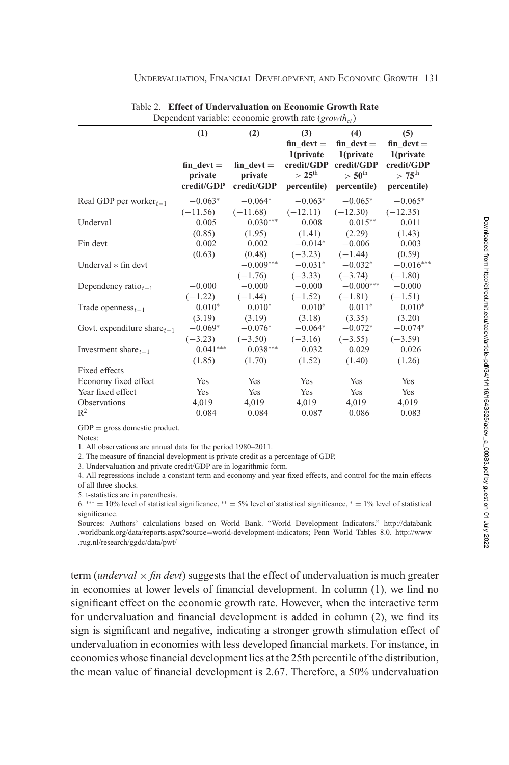|                                            | (1)                                     | (2)                                   | (3)                                                         | (4)                                                             | (5)                                                         |
|--------------------------------------------|-----------------------------------------|---------------------------------------|-------------------------------------------------------------|-----------------------------------------------------------------|-------------------------------------------------------------|
|                                            |                                         |                                       | $fin$ devt $=$                                              | $fin\_devt =$                                                   | $fin$ devt $=$                                              |
|                                            | $fin$ devt $=$<br>private<br>credit/GDP | fin $devt =$<br>private<br>credit/GDP | $1$ (private<br>credit/GDP<br>$>25^{\rm th}$<br>percentile) | $1$ (private<br>credit/GDP<br>$> 50^{\text{th}}$<br>percentile) | 1(private<br>credit/GDP<br>$>75^{\text{th}}$<br>percentile) |
| Real GDP per worker $_{t-1}$               | $-0.063*$                               | $-0.064*$                             | $-0.063*$                                                   | $-0.065*$                                                       | $-0.065*$                                                   |
|                                            | $(-11.56)$                              | $(-11.68)$                            | $(-12.11)$                                                  | $(-12.30)$                                                      | $(-12.35)$                                                  |
| Underval                                   | 0.005                                   | $0.030***$                            | 0.008                                                       | $0.015**$                                                       | 0.011                                                       |
|                                            | (0.85)                                  | (1.95)                                | (1.41)                                                      | (2.29)                                                          | (1.43)                                                      |
| Fin devt                                   | 0.002                                   | 0.002                                 | $-0.014*$                                                   | $-0.006$                                                        | 0.003                                                       |
|                                            | (0.63)                                  | (0.48)                                | $(-3.23)$ $(-1.44)$                                         |                                                                 | (0.59)                                                      |
| Underval $*$ fin devt                      |                                         | $-0.009***$                           |                                                             | $-0.031^*$ $-0.032^*$                                           | $-0.016***$                                                 |
|                                            |                                         | $(-1.76)$                             | $(-3.33)$                                                   | $(-3.74)$                                                       | $(-1.80)$                                                   |
| Dependency ratio $_{t-1}$                  | $-0.000$                                | $-0.000$                              | $-0.000$                                                    | $-0.000***$                                                     | $-0.000$                                                    |
|                                            | $(-1.22)$                               | $(-1.44)$                             | $(-1.52)$                                                   | $(-1.81)$                                                       | $(-1.51)$                                                   |
| Trade openness <sub><math>t-1</math></sub> | $0.010*$                                | $0.010*$                              | $0.010*$                                                    | $0.011*$                                                        | $0.010*$                                                    |
|                                            | (3.19)                                  | (3.19)                                | (3.18)                                                      | (3.35)                                                          | (3.20)                                                      |
| Govt. expenditure share $_{t-1}$           | $-0.069*$                               | $-0.076*$                             | $-0.064*$                                                   | $-0.072*$                                                       | $-0.074*$                                                   |
|                                            | $(-3.23)$                               | $(-3.50)$                             | $(-3.16)$                                                   | $(-3.55)$                                                       | $(-3.59)$                                                   |
| Investment share $t_{t-1}$                 | $0.041***$                              | $0.038***$                            | 0.032                                                       | 0.029                                                           | 0.026                                                       |
|                                            | (1.85)                                  | (1.70)                                | (1.52)                                                      | (1.40)                                                          | (1.26)                                                      |
| Fixed effects                              |                                         |                                       |                                                             |                                                                 |                                                             |
| Economy fixed effect                       | Yes                                     | Yes                                   | Yes                                                         | Yes                                                             | Yes                                                         |
| Year fixed effect                          | Yes                                     | Yes                                   | Yes                                                         | Yes                                                             | Yes                                                         |
| Observations                               | 4,019                                   | 4,019                                 | 4,019                                                       | 4,019                                                           | 4,019                                                       |
| $R^2$                                      | 0.084                                   | 0.084                                 | 0.087                                                       | 0.086                                                           | 0.083                                                       |

Table 2. **Effect of Undervaluation on Economic Growth Rate** Dependent variable: economic growth rate (*growth*)

 $GDP =$  gross domestic product.

Notes:

1. All observations are annual data for the period 1980–2011.

2. The measure of financial development is private credit as a percentage of GDP.

3. Undervaluation and private credit/GDP are in logarithmic form.

4. All regressions include a constant term and economy and year fixed effects, and control for the main effects of all three shocks.

5. t-statistics are in parenthesis.

6.  $*** = 10\%$  level of statistical significance,  $** = 5\%$  level of statistical significance,  $* = 1\%$  level of statistical significance.

Sources: Authors' calculations based on World Bank. "World Development Indicators." http://databank .worldbank.org/data/reports.aspx?source=world-development-indicators; Penn World Tables 8.0. http://www .rug.nl/research/ggdc/data/pwt/

term (*underval*  $\times$  *fin devt*) suggests that the effect of undervaluation is much greater in economies at lower levels of financial development. In column (1), we find no significant effect on the economic growth rate. However, when the interactive term for undervaluation and financial development is added in column (2), we find its sign is significant and negative, indicating a stronger growth stimulation effect of undervaluation in economies with less developed financial markets. For instance, in economies whose financial development lies at the 25th percentile of the distribution, the mean value of financial development is 2.67. Therefore, a 50% undervaluation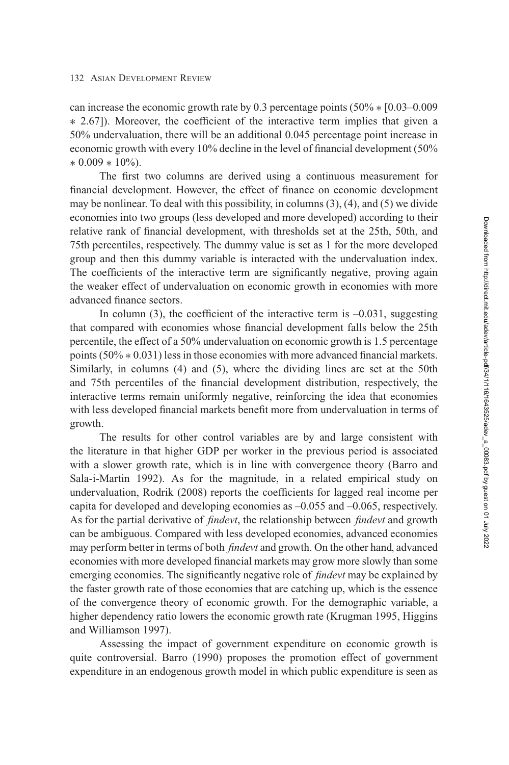can increase the economic growth rate by 0.3 percentage points  $(50\% * [0.03-0.009$ ∗ 2.67]). Moreover, the coefficient of the interactive term implies that given a 50% undervaluation, there will be an additional 0.045 percentage point increase in economic growth with every 10% decline in the level of financial development (50%  $* 0.009 * 10\%$ ).

The first two columns are derived using a continuous measurement for financial development. However, the effect of finance on economic development may be nonlinear. To deal with this possibility, in columns (3), (4), and (5) we divide economies into two groups (less developed and more developed) according to their relative rank of financial development, with thresholds set at the 25th, 50th, and 75th percentiles, respectively. The dummy value is set as 1 for the more developed group and then this dummy variable is interacted with the undervaluation index. The coefficients of the interactive term are significantly negative, proving again the weaker effect of undervaluation on economic growth in economies with more advanced finance sectors.

In column  $(3)$ , the coefficient of the interactive term is  $-0.031$ , suggesting that compared with economies whose financial development falls below the 25th percentile, the effect of a 50% undervaluation on economic growth is 1.5 percentage points (50% ∗ 0.031) less in those economies with more advanced financial markets. Similarly, in columns (4) and (5), where the dividing lines are set at the 50th and 75th percentiles of the financial development distribution, respectively, the interactive terms remain uniformly negative, reinforcing the idea that economies with less developed financial markets benefit more from undervaluation in terms of growth.

The results for other control variables are by and large consistent with the literature in that higher GDP per worker in the previous period is associated with a slower growth rate, which is in line with convergence theory (Barro and Sala-i-Martin 1992). As for the magnitude, in a related empirical study on undervaluation, Rodrik (2008) reports the coefficients for lagged real income per capita for developed and developing economies as –0.055 and –0.065, respectively. As for the partial derivative of *findevt*, the relationship between *findevt* and growth can be ambiguous. Compared with less developed economies, advanced economies may perform better in terms of both *findevt* and growth. On the other hand, advanced economies with more developed financial markets may grow more slowly than some emerging economies. The significantly negative role of *findevt* may be explained by the faster growth rate of those economies that are catching up, which is the essence of the convergence theory of economic growth. For the demographic variable, a higher dependency ratio lowers the economic growth rate (Krugman 1995, Higgins and Williamson 1997).

Assessing the impact of government expenditure on economic growth is quite controversial. Barro (1990) proposes the promotion effect of government expenditure in an endogenous growth model in which public expenditure is seen as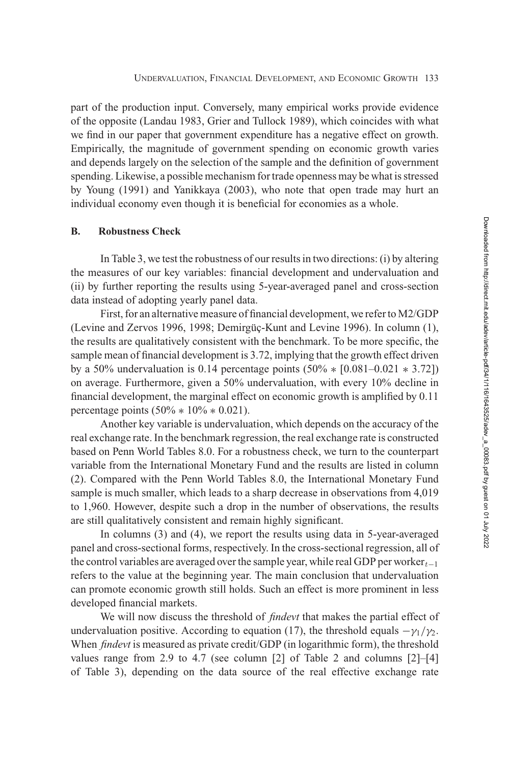part of the production input. Conversely, many empirical works provide evidence of the opposite (Landau 1983, Grier and Tullock 1989), which coincides with what we find in our paper that government expenditure has a negative effect on growth. Empirically, the magnitude of government spending on economic growth varies and depends largely on the selection of the sample and the definition of government spending. Likewise, a possible mechanism for trade openness may be what is stressed by Young (1991) and Yanikkaya (2003), who note that open trade may hurt an individual economy even though it is beneficial for economies as a whole.

# **B. Robustness Check**

In Table 3, we test the robustness of our results in two directions: (i) by altering the measures of our key variables: financial development and undervaluation and (ii) by further reporting the results using 5-year-averaged panel and cross-section data instead of adopting yearly panel data.

First, for an alternative measure of financial development, we refer to M2/GDP (Levine and Zervos 1996, 1998; Demirgüç-Kunt and Levine 1996). In column (1), the results are qualitatively consistent with the benchmark. To be more specific, the sample mean of financial development is 3.72, implying that the growth effect driven by a 50% undervaluation is 0.14 percentage points  $(50\% * [0.081 - 0.021 * 3.72])$ on average. Furthermore, given a 50% undervaluation, with every 10% decline in financial development, the marginal effect on economic growth is amplified by 0.11 percentage points  $(50\% * 10\% * 0.021)$ .

Another key variable is undervaluation, which depends on the accuracy of the real exchange rate. In the benchmark regression, the real exchange rate is constructed based on Penn World Tables 8.0. For a robustness check, we turn to the counterpart variable from the International Monetary Fund and the results are listed in column (2). Compared with the Penn World Tables 8.0, the International Monetary Fund sample is much smaller, which leads to a sharp decrease in observations from 4,019 to 1,960. However, despite such a drop in the number of observations, the results are still qualitatively consistent and remain highly significant.

In columns (3) and (4), we report the results using data in 5-year-averaged panel and cross-sectional forms, respectively. In the cross-sectional regression, all of the control variables are averaged over the sample year, while real GDP per worker $t_{-1}$ refers to the value at the beginning year. The main conclusion that undervaluation can promote economic growth still holds. Such an effect is more prominent in less developed financial markets.

We will now discuss the threshold of *findevt* that makes the partial effect of undervaluation positive. According to equation (17), the threshold equals  $-\gamma_1/\gamma_2$ . When *findevt* is measured as private credit/GDP (in logarithmic form), the threshold values range from 2.9 to 4.7 (see column [2] of Table 2 and columns [2]–[4] of Table 3), depending on the data source of the real effective exchange rate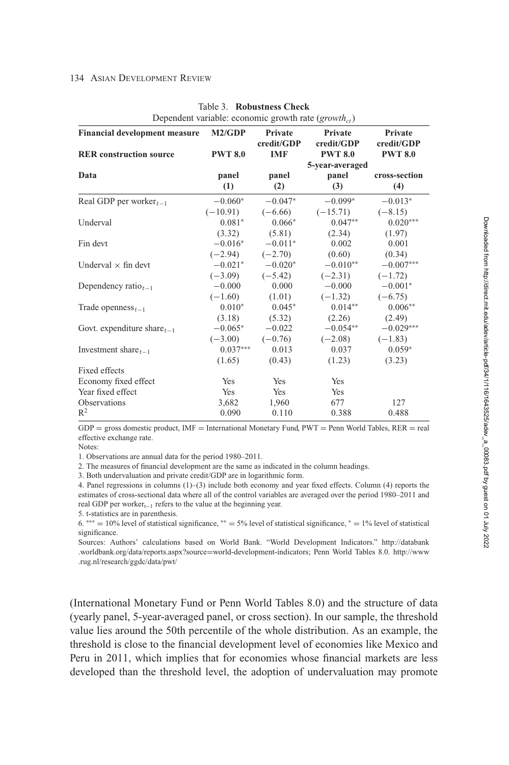| <b>Financial development measure</b>       | M2/GDP         | Private<br>credit/GDP | Private<br>credit/GDP | Private<br>credit/GDP |
|--------------------------------------------|----------------|-----------------------|-----------------------|-----------------------|
| <b>RER</b> construction source             | <b>PWT 8.0</b> | <b>IMF</b>            | <b>PWT 8.0</b>        | <b>PWT 8.0</b>        |
|                                            |                |                       | 5-year-averaged       |                       |
| Data                                       | panel          | panel                 | panel                 | cross-section         |
|                                            | (1)            | (2)                   | (3)                   | (4)                   |
| Real GDP per worker $_{t-1}$               | $-0.060*$      | $-0.047*$             | $-0.099*$             | $-0.013*$             |
|                                            | $(-10.91)$     |                       | $(-6.66)$ $(-15.71)$  | $(-8.15)$             |
| Underval                                   |                | $0.081^*$ $0.066^*$   | $0.047**$             | $0.020***$            |
|                                            | (3.32)         | (5.81)                | (2.34)                | (1.97)                |
| Fin devt                                   | $-0.016*$      | $-0.011*$             | 0.002                 | 0.001                 |
|                                            |                | $(-2.94)$ $(-2.70)$   | (0.60)                | (0.34)                |
| Underval $\times$ fin devt                 |                | $-0.021^*$ $-0.020^*$ | $-0.010**$            | $-0.007***$           |
|                                            |                | $(-3.09)$ $(-5.42)$   | $(-2.31)$             | $(-1.72)$             |
| Dependency ratio $_{t-1}$                  | $-0.000$       | 0.000                 | $-0.000$              | $-0.001*$             |
|                                            | $(-1.60)$      | (1.01)                | $(-1.32)$             | $(-6.75)$             |
| Trade openness <sub><math>t-1</math></sub> | $0.010*$       | $0.045*$              | $0.014**$             | $0.006**$             |
|                                            | (3.18)         | (5.32)                | (2.26)                | (2.49)                |
| Govt. expenditure share $_{t-1}$           | $-0.065*$      | $-0.022$              | $-0.054**$            | $-0.029***$           |
|                                            |                | $(-3.00)$ $(-0.76)$   | $(-2.08)$             | $(-1.83)$             |
| Investment share $t_{t-1}$                 | $0.037***$     | 0.013                 | 0.037                 | $0.059*$              |
|                                            | (1.65)         | (0.43)                | (1.23)                | (3.23)                |
| Fixed effects                              |                |                       |                       |                       |
| Economy fixed effect                       | Yes            | Yes                   | Yes                   |                       |
| Year fixed effect                          | Yes            | Yes                   | Yes                   |                       |
| Observations                               | 3,682          | 1,960                 | 677                   | 127                   |
| $R^2$                                      | 0.090          | 0.110                 | 0.388                 | 0.488                 |

Table 3. **Robustness Check** Dependent variable: economic growth rate (*growth*<sub>at</sub>)

 $GDP =$  gross domestic product,  $IMF =$  International Monetary Fund, PWT = Penn World Tables, RER = real effective exchange rate.

Notes:

1. Observations are annual data for the period 1980–2011.

2. The measures of financial development are the same as indicated in the column headings.

3. Both undervaluation and private credit/GDP are in logarithmic form.

4. Panel regressions in columns (1)–(3) include both economy and year fixed effects. Column (4) reports the estimates of cross-sectional data where all of the control variables are averaged over the period 1980–2011 and real GDP per worker<sub>t−1</sub> refers to the value at the beginning year.

5. t-statistics are in parenthesis.

6.  $*** = 10\%$  level of statistical significance,  $** = 5\%$  level of statistical significance,  $* = 1\%$  level of statistical significance.

Sources: Authors' calculations based on World Bank. "World Development Indicators." http://databank .worldbank.org/data/reports.aspx?source=world-development-indicators; Penn World Tables 8.0. http://www .rug.nl/research/ggdc/data/pwt/

(International Monetary Fund or Penn World Tables 8.0) and the structure of data (yearly panel, 5-year-averaged panel, or cross section). In our sample, the threshold value lies around the 50th percentile of the whole distribution. As an example, the threshold is close to the financial development level of economies like Mexico and Peru in 2011, which implies that for economies whose financial markets are less developed than the threshold level, the adoption of undervaluation may promote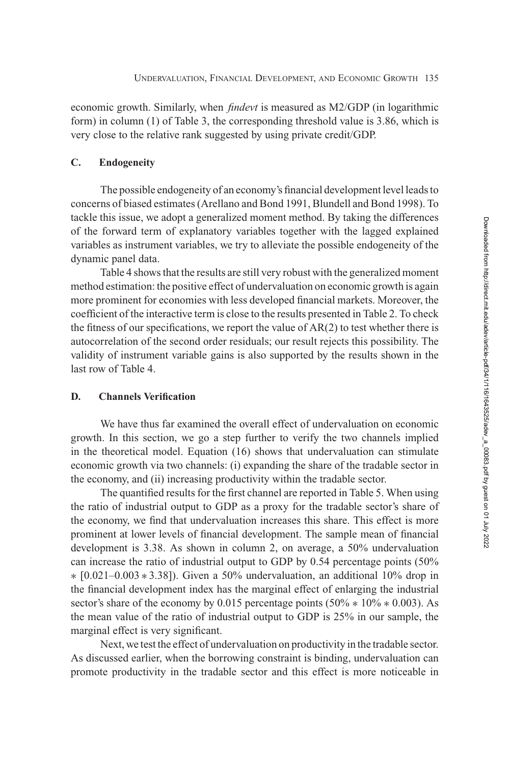economic growth. Similarly, when *findevt* is measured as M2/GDP (in logarithmic form) in column (1) of Table 3, the corresponding threshold value is 3.86, which is very close to the relative rank suggested by using private credit/GDP.

# **C. Endogeneity**

The possible endogeneity of an economy's financial development level leads to concerns of biased estimates (Arellano and Bond 1991, Blundell and Bond 1998). To tackle this issue, we adopt a generalized moment method. By taking the differences of the forward term of explanatory variables together with the lagged explained variables as instrument variables, we try to alleviate the possible endogeneity of the dynamic panel data.

Table 4 shows that the results are still very robust with the generalized moment method estimation: the positive effect of undervaluation on economic growth is again more prominent for economies with less developed financial markets. Moreover, the coefficient of the interactive term is close to the results presented in Table 2. To check the fitness of our specifications, we report the value of  $AR(2)$  to test whether there is autocorrelation of the second order residuals; our result rejects this possibility. The validity of instrument variable gains is also supported by the results shown in the last row of Table 4.

## **D. Channels Verification**

We have thus far examined the overall effect of undervaluation on economic growth. In this section, we go a step further to verify the two channels implied in the theoretical model. Equation (16) shows that undervaluation can stimulate economic growth via two channels: (i) expanding the share of the tradable sector in the economy, and (ii) increasing productivity within the tradable sector.

The quantified results for the first channel are reported in Table 5. When using the ratio of industrial output to GDP as a proxy for the tradable sector's share of the economy, we find that undervaluation increases this share. This effect is more prominent at lower levels of financial development. The sample mean of financial development is 3.38. As shown in column 2, on average, a 50% undervaluation can increase the ratio of industrial output to GDP by 0.54 percentage points (50% ∗ [0.021–0.003 ∗ 3.38]). Given a 50% undervaluation, an additional 10% drop in the financial development index has the marginal effect of enlarging the industrial sector's share of the economy by 0.015 percentage points  $(50\% * 10\% * 0.003)$ . As the mean value of the ratio of industrial output to GDP is 25% in our sample, the marginal effect is very significant.

Next, we test the effect of undervaluation on productivity in the tradable sector. As discussed earlier, when the borrowing constraint is binding, undervaluation can promote productivity in the tradable sector and this effect is more noticeable in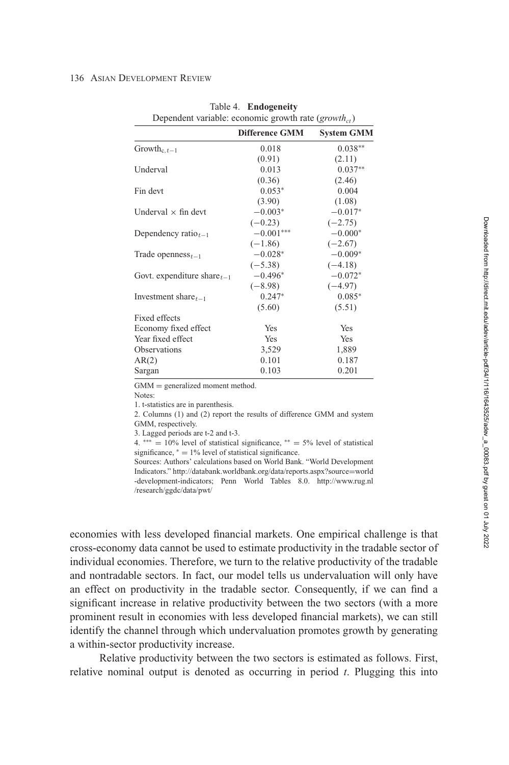| Dependent variable. Conforme growth rate $(grown_{ct})$ |                       |                   |  |
|---------------------------------------------------------|-----------------------|-------------------|--|
|                                                         | <b>Difference GMM</b> | <b>System GMM</b> |  |
| Growth <sub>c, <math>t-1</math></sub>                   | 0.018                 | $0.038**$         |  |
|                                                         | (0.91)                | (2.11)            |  |
| Underval                                                | 0.013                 | $0.037**$         |  |
|                                                         | (0.36)                | (2.46)            |  |
| Fin devt                                                | $0.053*$              | 0.004             |  |
|                                                         | (3.90)                | (1.08)            |  |
| Underval $\times$ fin devt                              | $-0.003*$             | $-0.017*$         |  |
|                                                         | $(-0.23)$             | $(-2.75)$         |  |
| Dependency ratio $_{t-1}$                               | $-0.001***$           | $-0.000*$         |  |
|                                                         | $(-1.86)$             | $(-2.67)$         |  |
| Trade openness <sub><math>t-1</math></sub>              | $-0.028*$             | $-0.009*$         |  |
|                                                         | $(-5.38)$             | $(-4.18)$         |  |
| Govt. expenditure share $_{t-1}$                        | $-0.496*$             | $-0.072*$         |  |
|                                                         | $(-8.98)$             | $(-4.97)$         |  |
| Investment share $t_{t-1}$                              | $0.247*$              | $0.085*$          |  |
|                                                         | (5.60)                | (5.51)            |  |
| Fixed effects                                           |                       |                   |  |
| Economy fixed effect                                    | Yes                   | Yes               |  |
| Year fixed effect                                       | Yes                   | Yes               |  |
| <b>Observations</b>                                     | 3,529                 | 1,889             |  |
| AR(2)                                                   | 0.101                 | 0.187             |  |
| Sargan                                                  | 0.103                 | 0.201             |  |
|                                                         |                       |                   |  |

Table 4. **Endogeneity** Dependent variable: economic growth rate (*growth*)

 $GMM =$  generalized moment method.

Notes:

1. t-statistics are in parenthesis.

2. Columns (1) and (2) report the results of difference GMM and system GMM, respectively.

3. Lagged periods are t-2 and t-3.

 $4.*** = 10\%$  level of statistical significance, \*\* = 5% level of statistical significance,  $* = 1\%$  level of statistical significance.

Sources: Authors' calculations based on World Bank. "World Development Indicators." http://databank.worldbank.org/data/reports.aspx?source=world -development-indicators; Penn World Tables 8.0. http://www.rug.nl /research/ggdc/data/pwt/

economies with less developed financial markets. One empirical challenge is that cross-economy data cannot be used to estimate productivity in the tradable sector of individual economies. Therefore, we turn to the relative productivity of the tradable and nontradable sectors. In fact, our model tells us undervaluation will only have an effect on productivity in the tradable sector. Consequently, if we can find a significant increase in relative productivity between the two sectors (with a more prominent result in economies with less developed financial markets), we can still identify the channel through which undervaluation promotes growth by generating a within-sector productivity increase.

Relative productivity between the two sectors is estimated as follows. First, relative nominal output is denoted as occurring in period *t*. Plugging this into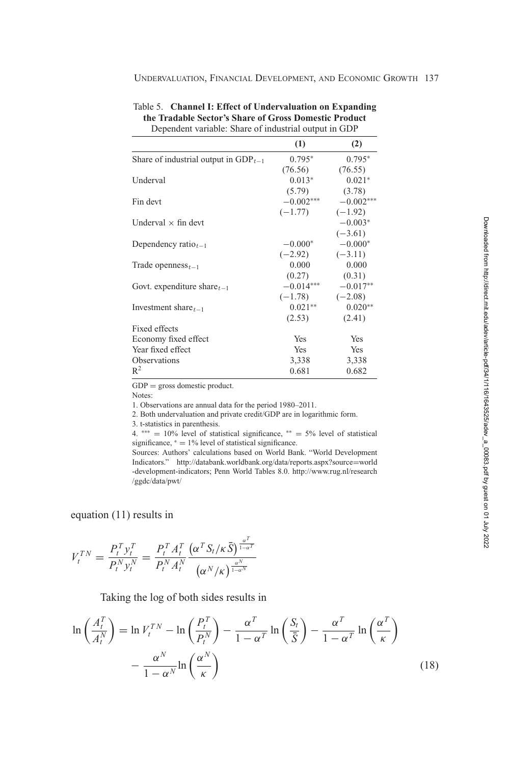|                                            | (1)         | (2)         |
|--------------------------------------------|-------------|-------------|
| Share of industrial output in $GDP_{t-1}$  | $0.795*$    | $0.795*$    |
|                                            | (76.56)     | (76.55)     |
| Underval                                   | $0.013*$    | $0.021*$    |
|                                            | (5.79)      | (3.78)      |
| Fin devt                                   | $-0.002***$ | $-0.002***$ |
|                                            | $(-1.77)$   | $(-1.92)$   |
| Underval $\times$ fin devt                 |             | $-0.003*$   |
|                                            |             | $(-3.61)$   |
| Dependency ratio $_{t-1}$                  | $-0.000*$   | $-0.000*$   |
|                                            | $(-2.92)$   | $(-3.11)$   |
| Trade openness <sub><math>t-1</math></sub> | 0.000       | 0.000       |
|                                            | (0.27)      | (0.31)      |
| Govt. expenditure share $_{t-1}$           | $-0.014***$ | $-0.017**$  |
|                                            | $(-1.78)$   | $(-2.08)$   |
| Investment share $t_{t-1}$                 | $0.021**$   | $0.020**$   |
|                                            | (2.53)      | (2.41)      |
| Fixed effects                              |             |             |
| Economy fixed effect                       | Yes         | Yes         |
| Year fixed effect                          | Yes         | Yes         |
| <b>Observations</b>                        | 3,338       | 3,338       |
| $R^2$                                      | 0.681       | 0.682       |

Table 5. **Channel I: Effect of Undervaluation on Expanding the Tradable Sector's Share of Gross Domestic Product** Dependent variable: Share of industrial output in GDP

 $GDP =$  gross domestic product.

Notes:

1. Observations are annual data for the period 1980–2011.

2. Both undervaluation and private credit/GDP are in logarithmic form.

3. t-statistics in parenthesis.

 $4.*** = 10\%$  level of statistical significance, \*\* = 5% level of statistical significance,  $* = 1\%$  level of statistical significance.

Sources: Authors' calculations based on World Bank. "World Development Indicators." http://databank.worldbank.org/data/reports.aspx?source=world -development-indicators; Penn World Tables 8.0. http://www.rug.nl/research /ggdc/data/pwt/

# equation (11) results in

$$
V_t^{TN} = \frac{P_t^T y_t^T}{P_t^N y_t^N} = \frac{P_t^T A_t^T}{P_t^N A_t^N} \frac{(\alpha^T S_t / \kappa \bar{S})^{\frac{\alpha^T}{1 - \alpha^T}}}{(\alpha^N / \kappa)^{\frac{\alpha^N}{1 - \alpha^N}}}
$$

Taking the log of both sides results in

$$
\ln\left(\frac{A_t^T}{A_t^N}\right) = \ln V_t^{TN} - \ln\left(\frac{P_t^T}{P_t^N}\right) - \frac{\alpha^T}{1 - \alpha^T} \ln\left(\frac{S_t}{\bar{S}}\right) - \frac{\alpha^T}{1 - \alpha^T} \ln\left(\frac{\alpha^T}{\kappa}\right)
$$

$$
- \frac{\alpha^N}{1 - \alpha^N} \ln\left(\frac{\alpha^N}{\kappa}\right) \tag{18}
$$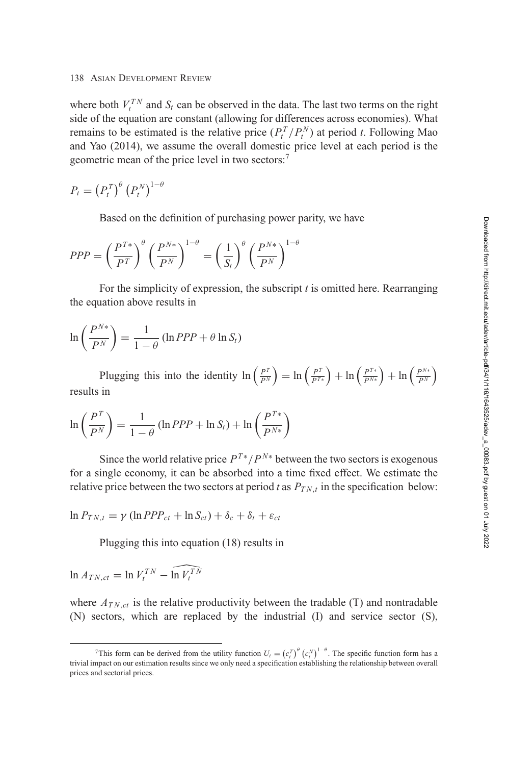where both  $V_t^{TN}$  and  $S_t$  can be observed in the data. The last two terms on the right side of the equation are constant (allowing for differences across economies). What remains to be estimated is the relative price  $(P_t^T/P_t^N)$  at period *t*. Following Mao and Yao (2014), we assume the overall domestic price level at each period is the geometric mean of the price level in two sectors:7

$$
P_t = \left(P_t^T\right)^{\theta} \left(P_t^N\right)^{1-\theta}
$$

Based on the definition of purchasing power parity, we have

$$
PPP = \left(\frac{P^{T*}}{P^T}\right)^{\theta} \left(\frac{P^{N*}}{P^N}\right)^{1-\theta} = \left(\frac{1}{S_t}\right)^{\theta} \left(\frac{P^{N*}}{P^N}\right)^{1-\theta}
$$

For the simplicity of expression, the subscript *t* is omitted here. Rearranging the equation above results in

$$
\ln\left(\frac{P^{N*}}{P^N}\right) = \frac{1}{1-\theta} \left(\ln PPP + \theta \ln S_t\right)
$$

Plugging this into the identity  $\ln\left(\frac{p^T}{p^N}\right) = \ln\left(\frac{p^T}{p^T*}\right) + \ln\left(\frac{p^{T*}}{p^N}\right) + \ln\left(\frac{p^N*}{p^N}\right)$ results in

$$
\ln\left(\frac{P^T}{P^N}\right) = \frac{1}{1-\theta} \left(\ln PPP + \ln S_t\right) + \ln\left(\frac{P^{T*}}{P^{N*}}\right)
$$

Since the world relative price  $P^{T*}/P^{N*}$  between the two sectors is exogenous for a single economy, it can be absorbed into a time fixed effect. We estimate the relative price between the two sectors at period *t* as  $P_{TN,t}$  in the specification below:

 $\ln P_{TN,t} = \gamma (\ln PPP_{ct} + \ln S_{ct}) + \delta_c + \delta_t + \varepsilon_{ct}$ 

Plugging this into equation (18) results in  
 
$$
\ln A_{TN,ct} = \ln V_t^{TN} - \widehat{\ln V_t^{TN}}
$$

where  $A_{TN,ct}$  is the relative productivity between the tradable (T) and nontradable (N) sectors, which are replaced by the industrial (I) and service sector (S),

<sup>&</sup>lt;sup>7</sup>This form can be derived from the utility function  $U_t = (c_t^T)^{\theta} (c_t^N)^{1-\theta}$ . The specific function form has a trivial impact on our estimation results since we only need a specification establishing the relationship between overall prices and sectorial prices.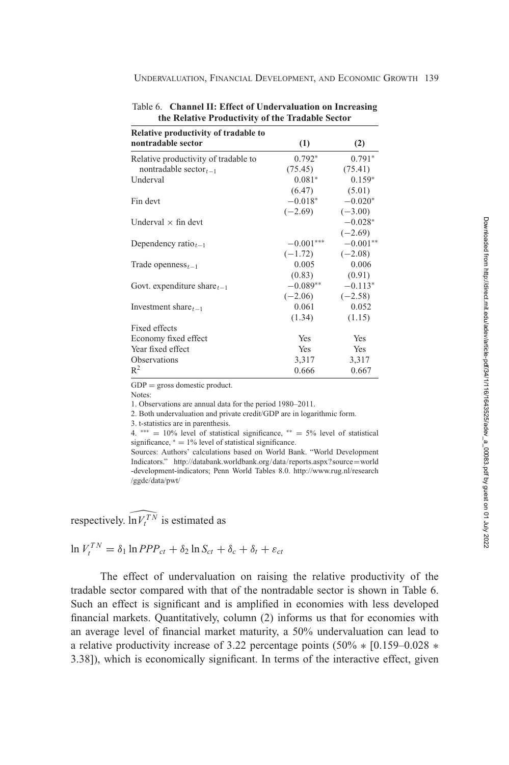| Relative productivity of tradable to           |             |            |
|------------------------------------------------|-------------|------------|
| nontradable sector                             | (1)         | (2)        |
| Relative productivity of tradable to           | $0.792*$    | $0.791*$   |
| nontradable sector <sub><math>t-1</math></sub> | (75.45)     | (75.41)    |
| Underval                                       | $0.081*$    | $0.159*$   |
|                                                | (6.47)      | (5.01)     |
| Fin devt                                       | $-0.018*$   | $-0.020*$  |
|                                                | $(-2.69)$   | $(-3.00)$  |
| Underval $\times$ fin devt                     |             | $-0.028*$  |
|                                                |             | $(-2.69)$  |
| Dependency ratio $_{t-1}$                      | $-0.001***$ | $-0.001**$ |
|                                                | $(-1.72)$   | $(-2.08)$  |
| Trade openness <sub><math>t-1</math></sub>     | 0.005       | 0.006      |
|                                                | (0.83)      | (0.91)     |
| Govt. expenditure share $_{t-1}$               | $-0.089**$  | $-0.113*$  |
|                                                | $(-2.06)$   | $(-2.58)$  |
| Investment share $t_{t-1}$                     | 0.061       | 0.052      |
|                                                | (1.34)      | (1.15)     |
| Fixed effects                                  |             |            |
| Economy fixed effect                           | Yes         | Yes        |
| Year fixed effect                              | Yes         | Yes        |
| <b>Observations</b>                            | 3,317       | 3,317      |
| $R^2$                                          | 0.666       | 0.667      |

Table 6. **Channel II: Effect of Undervaluation on Increasing the Relative Productivity of the Tradable Sector**

 $GDP =$  gross domestic product.

Notes:

1. Observations are annual data for the period 1980–2011.

2. Both undervaluation and private credit/GDP are in logarithmic form.

3. t-statistics are in parenthesis.

4. \*\*\* = 10% level of statistical significance, \*\* = 5% level of statistical significance,  $* = 1\%$  level of statistical significance.

Sources: Authors' calculations based on World Bank. "World Development Indicators." http://databank.worldbank.org/data/reports.aspx?source=world -development-indicators; Penn World Tables 8.0. http://www.rug.nl/research /ggdc/data/pwt/

respectively.  $\widehat{\ln V_t^{TN}}$  is estimated as

 $\ln V_t^{TN} = \delta_1 \ln PPP_{ct} + \delta_2 \ln S_{ct} + \delta_c + \delta_t + \varepsilon_{ct}$ 

The effect of undervaluation on raising the relative productivity of the tradable sector compared with that of the nontradable sector is shown in Table 6. Such an effect is significant and is amplified in economies with less developed financial markets. Quantitatively, column (2) informs us that for economies with an average level of financial market maturity, a 50% undervaluation can lead to a relative productivity increase of 3.22 percentage points (50% ∗ [0.159–0.028 ∗ 3.38]), which is economically significant. In terms of the interactive effect, given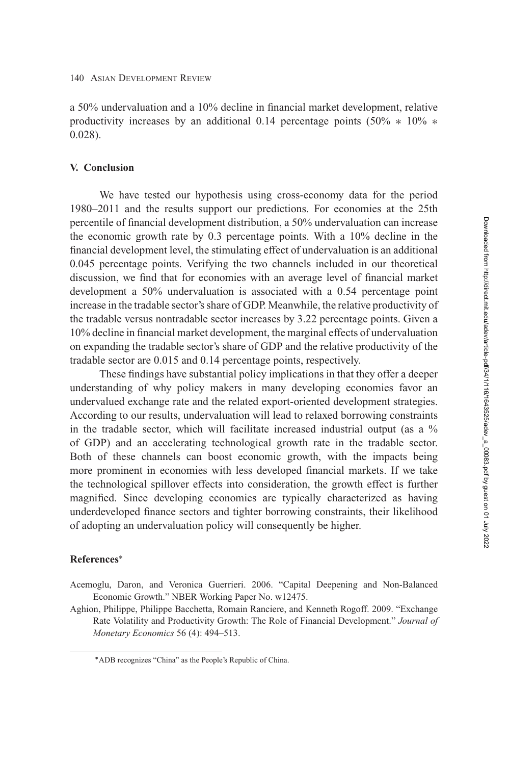a 50% undervaluation and a 10% decline in financial market development, relative productivity increases by an additional 0.14 percentage points (50% ∗ 10% ∗ 0.028).

## **V. Conclusion**

We have tested our hypothesis using cross-economy data for the period 1980–2011 and the results support our predictions. For economies at the 25th percentile of financial development distribution, a 50% undervaluation can increase the economic growth rate by 0.3 percentage points. With a 10% decline in the financial development level, the stimulating effect of undervaluation is an additional 0.045 percentage points. Verifying the two channels included in our theoretical discussion, we find that for economies with an average level of financial market development a 50% undervaluation is associated with a 0.54 percentage point increase in the tradable sector's share of GDP. Meanwhile, the relative productivity of the tradable versus nontradable sector increases by 3.22 percentage points. Given a 10% decline in financial market development, the marginal effects of undervaluation on expanding the tradable sector's share of GDP and the relative productivity of the tradable sector are 0.015 and 0.14 percentage points, respectively.

These findings have substantial policy implications in that they offer a deeper understanding of why policy makers in many developing economies favor an undervalued exchange rate and the related export-oriented development strategies. According to our results, undervaluation will lead to relaxed borrowing constraints in the tradable sector, which will facilitate increased industrial output (as a % of GDP) and an accelerating technological growth rate in the tradable sector. Both of these channels can boost economic growth, with the impacts being more prominent in economies with less developed financial markets. If we take the technological spillover effects into consideration, the growth effect is further magnified. Since developing economies are typically characterized as having underdeveloped finance sectors and tighter borrowing constraints, their likelihood of adopting an undervaluation policy will consequently be higher.

## **References**<sup>∗</sup>

- Acemoglu, Daron, and Veronica Guerrieri. 2006. "Capital Deepening and Non-Balanced Economic Growth." NBER Working Paper No. w12475.
- Aghion, Philippe, Philippe Bacchetta, Romain Ranciere, and Kenneth Rogoff. 2009. "Exchange Rate Volatility and Productivity Growth: The Role of Financial Development." *Journal of Monetary Economics* 56 (4): 494–513.

**<sup>∗</sup>**ADB recognizes "China" as the People's Republic of China.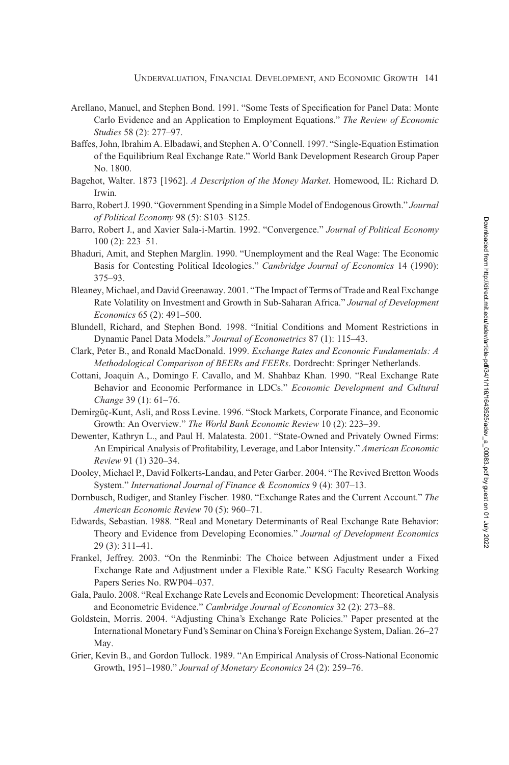- Arellano, Manuel, and Stephen Bond. 1991. "Some Tests of Specification for Panel Data: Monte Carlo Evidence and an Application to Employment Equations." *The Review of Economic Studies* 58 (2): 277–97.
- Baffes, John, Ibrahim A. Elbadawi, and Stephen A. O'Connell. 1997. "Single-Equation Estimation of the Equilibrium Real Exchange Rate." World Bank Development Research Group Paper No. 1800.
- Bagehot, Walter. 1873 [1962]. *A Description of the Money Market*. Homewood, IL: Richard D. Irwin.
- Barro, Robert J. 1990. "Government Spending in a Simple Model of Endogenous Growth." *Journal of Political Economy* 98 (5): S103–S125.
- Barro, Robert J., and Xavier Sala-i-Martin. 1992. "Convergence." *Journal of Political Economy* 100 (2): 223–51.
- Bhaduri, Amit, and Stephen Marglin. 1990. "Unemployment and the Real Wage: The Economic Basis for Contesting Political Ideologies." *Cambridge Journal of Economics* 14 (1990): 375–93.
- Bleaney, Michael, and David Greenaway. 2001. "The Impact of Terms of Trade and Real Exchange Rate Volatility on Investment and Growth in Sub-Saharan Africa." *Journal of Development Economics* 65 (2): 491–500.
- Blundell, Richard, and Stephen Bond. 1998. "Initial Conditions and Moment Restrictions in Dynamic Panel Data Models." *Journal of Econometrics* 87 (1): 115–43.
- Clark, Peter B., and Ronald MacDonald. 1999. *Exchange Rates and Economic Fundamentals: A Methodological Comparison of BEERs and FEERs*. Dordrecht: Springer Netherlands.
- Cottani, Joaquin A., Domingo F. Cavallo, and M. Shahbaz Khan. 1990. "Real Exchange Rate Behavior and Economic Performance in LDCs." *Economic Development and Cultural Change* 39 (1): 61–76.
- Demirgüç-Kunt, Asli, and Ross Levine. 1996. "Stock Markets, Corporate Finance, and Economic Growth: An Overview." *The World Bank Economic Review* 10 (2): 223–39.
- Dewenter, Kathryn L., and Paul H. Malatesta. 2001. "State-Owned and Privately Owned Firms: An Empirical Analysis of Profitability, Leverage, and Labor Intensity." *American Economic Review* 91 (1) 320–34.
- Dooley, Michael P., David Folkerts-Landau, and Peter Garber. 2004. "The Revived Bretton Woods System." *International Journal of Finance & Economics* 9 (4): 307–13.
- Dornbusch, Rudiger, and Stanley Fischer. 1980. "Exchange Rates and the Current Account." *The American Economic Review* 70 (5): 960–71.
- Edwards, Sebastian. 1988. "Real and Monetary Determinants of Real Exchange Rate Behavior: Theory and Evidence from Developing Economies." *Journal of Development Economics* 29 (3): 311–41.
- Frankel, Jeffrey. 2003. "On the Renminbi: The Choice between Adjustment under a Fixed Exchange Rate and Adjustment under a Flexible Rate." KSG Faculty Research Working Papers Series No. RWP04–037.
- Gala, Paulo. 2008. "Real Exchange Rate Levels and Economic Development: Theoretical Analysis and Econometric Evidence." *Cambridge Journal of Economics* 32 (2): 273–88.
- Goldstein, Morris. 2004. "Adjusting China's Exchange Rate Policies." Paper presented at the International Monetary Fund's Seminar on China's Foreign Exchange System, Dalian. 26–27 May.
- Grier, Kevin B., and Gordon Tullock. 1989. "An Empirical Analysis of Cross-National Economic Growth, 1951–1980." *Journal of Monetary Economics* 24 (2): 259–76.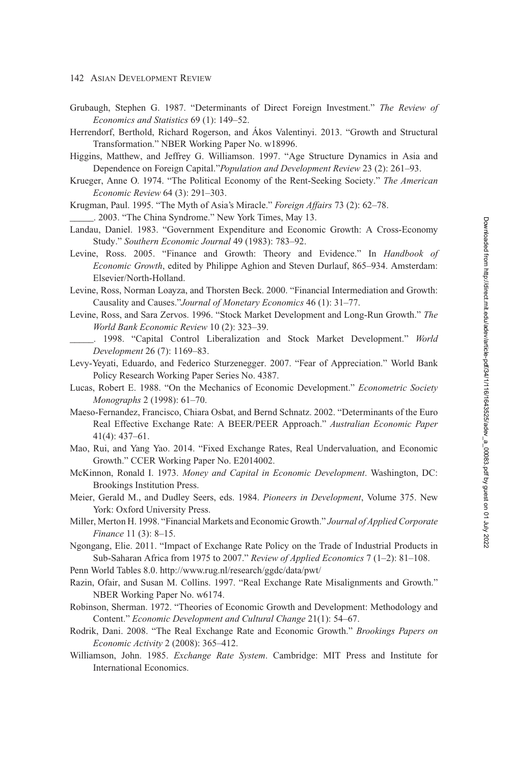- Grubaugh, Stephen G. 1987. "Determinants of Direct Foreign Investment." *The Review of Economics and Statistics* 69 (1): 149–52.
- Herrendorf, Berthold, Richard Rogerson, and Ákos Valentinyi. 2013. "Growth and Structural Transformation." NBER Working Paper No. w18996.
- Higgins, Matthew, and Jeffrey G. Williamson. 1997. "Age Structure Dynamics in Asia and Dependence on Foreign Capital."*Population and Development Review* 23 (2): 261–93.
- Krueger, Anne O. 1974. "The Political Economy of the Rent-Seeking Society." *The American Economic Review* 64 (3): 291–303.
- Krugman, Paul. 1995. "The Myth of Asia's Miracle." *Foreign Affairs* 73 (2): 62–78.
- \_\_\_\_\_. 2003. "The China Syndrome." New York Times, May 13.
- Landau, Daniel. 1983. "Government Expenditure and Economic Growth: A Cross-Economy Study." *Southern Economic Journal* 49 (1983): 783–92.
- Levine, Ross. 2005. "Finance and Growth: Theory and Evidence." In *Handbook of Economic Growth*, edited by Philippe Aghion and Steven Durlauf, 865–934. Amsterdam: Elsevier/North-Holland.
- Levine, Ross, Norman Loayza, and Thorsten Beck. 2000. "Financial Intermediation and Growth: Causality and Causes."*Journal of Monetary Economics* 46 (1): 31–77.
- Levine, Ross, and Sara Zervos. 1996. "Stock Market Development and Long-Run Growth." *The World Bank Economic Review* 10 (2): 323–39.
- \_\_\_\_\_. 1998. "Capital Control Liberalization and Stock Market Development." *World Development* 26 (7): 1169–83.
- Levy-Yeyati, Eduardo, and Federico Sturzenegger. 2007. "Fear of Appreciation." World Bank Policy Research Working Paper Series No. 4387.
- Lucas, Robert E. 1988. "On the Mechanics of Economic Development." *Econometric Society Monographs* 2 (1998): 61–70.
- Maeso-Fernandez, Francisco, Chiara Osbat, and Bernd Schnatz. 2002. "Determinants of the Euro Real Effective Exchange Rate: A BEER/PEER Approach." *Australian Economic Paper* 41(4): 437–61.
- Mao, Rui, and Yang Yao. 2014. "Fixed Exchange Rates, Real Undervaluation, and Economic Growth." CCER Working Paper No. E2014002.
- McKinnon, Ronald I. 1973. *Money and Capital in Economic Development*. Washington, DC: Brookings Institution Press.
- Meier, Gerald M., and Dudley Seers, eds. 1984. *Pioneers in Development*, Volume 375. New York: Oxford University Press.
- Miller, Merton H. 1998. "Financial Markets and Economic Growth." *Journal of Applied Corporate Finance* 11 (3): 8–15.
- Ngongang, Elie. 2011. "Impact of Exchange Rate Policy on the Trade of Industrial Products in Sub-Saharan Africa from 1975 to 2007." *Review of Applied Economics* 7 (1–2): 81–108.
- Penn World Tables 8.0.<http://www.rug.nl/research/ggdc/data/pwt/>
- Razin, Ofair, and Susan M. Collins. 1997. "Real Exchange Rate Misalignments and Growth." NBER Working Paper No. w6174.
- Robinson, Sherman. 1972. "Theories of Economic Growth and Development: Methodology and Content." *Economic Development and Cultural Change* 21(1): 54–67.
- Rodrik, Dani. 2008. "The Real Exchange Rate and Economic Growth." *Brookings Papers on Economic Activity* 2 (2008): 365–412.
- Williamson, John. 1985. *Exchange Rate System*. Cambridge: MIT Press and Institute for International Economics.